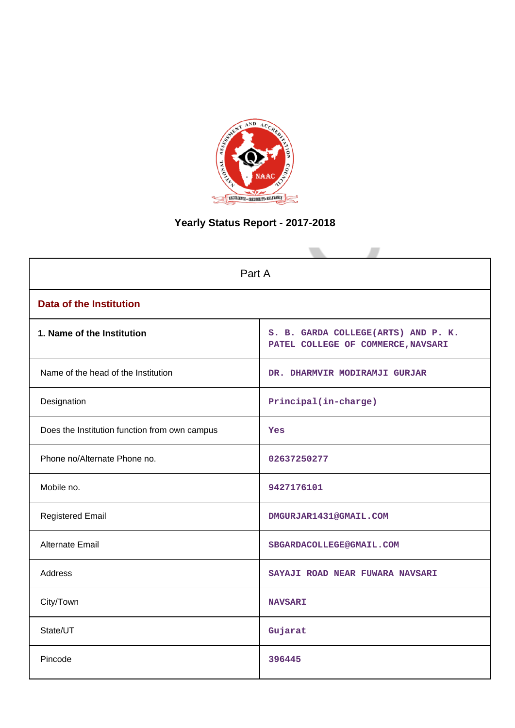

# **Yearly Status Report - 2017-2018**

| Part A                                        |                                                                           |  |  |  |
|-----------------------------------------------|---------------------------------------------------------------------------|--|--|--|
| <b>Data of the Institution</b>                |                                                                           |  |  |  |
| 1. Name of the Institution                    | S. B. GARDA COLLEGE(ARTS) AND P. K.<br>PATEL COLLEGE OF COMMERCE, NAVSARI |  |  |  |
| Name of the head of the Institution           | DR. DHARMVIR MODIRAMJI GURJAR                                             |  |  |  |
| Designation                                   | Principal(in-charge)                                                      |  |  |  |
| Does the Institution function from own campus | Yes                                                                       |  |  |  |
| Phone no/Alternate Phone no.                  | 02637250277                                                               |  |  |  |
| Mobile no.                                    | 9427176101                                                                |  |  |  |
| <b>Registered Email</b>                       | DMGURJAR1431@GMAIL.COM                                                    |  |  |  |
| <b>Alternate Email</b>                        | SBGARDACOLLEGE@GMAIL.COM                                                  |  |  |  |
| <b>Address</b>                                | SAYAJI ROAD NEAR FUWARA NAVSARI                                           |  |  |  |
| City/Town                                     | <b>NAVSARI</b>                                                            |  |  |  |
| State/UT                                      | Gujarat                                                                   |  |  |  |
| Pincode                                       | 396445                                                                    |  |  |  |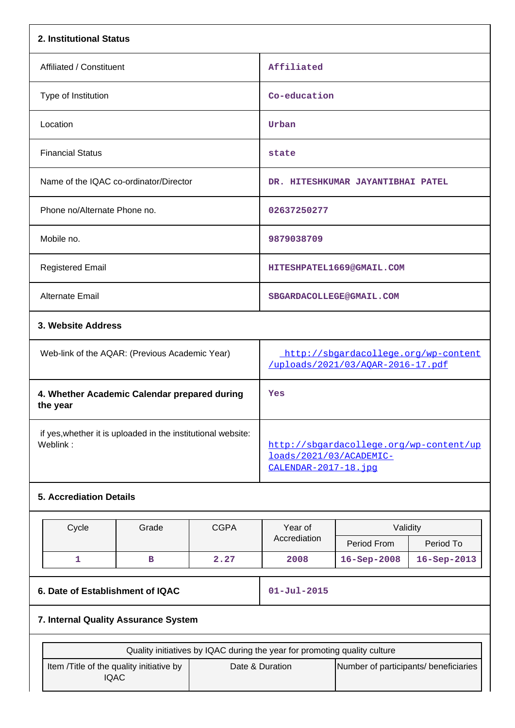| 2. Institutional Status                                                  |                                                                           |             |                                                                                            |                                   |             |  |
|--------------------------------------------------------------------------|---------------------------------------------------------------------------|-------------|--------------------------------------------------------------------------------------------|-----------------------------------|-------------|--|
| Affiliated / Constituent                                                 |                                                                           |             | Affiliated                                                                                 |                                   |             |  |
| Type of Institution                                                      |                                                                           |             | Co-education                                                                               |                                   |             |  |
| Location                                                                 |                                                                           |             | Urban                                                                                      |                                   |             |  |
| <b>Financial Status</b>                                                  |                                                                           |             | state                                                                                      |                                   |             |  |
| Name of the IQAC co-ordinator/Director                                   |                                                                           |             |                                                                                            | DR. HITESHKUMAR JAYANTIBHAI PATEL |             |  |
| Phone no/Alternate Phone no.                                             |                                                                           |             | 02637250277                                                                                |                                   |             |  |
| Mobile no.                                                               |                                                                           |             | 9879038709                                                                                 |                                   |             |  |
| <b>Registered Email</b>                                                  |                                                                           |             |                                                                                            | HITESHPATEL1669@GMAIL.COM         |             |  |
| Alternate Email                                                          |                                                                           |             | SBGARDACOLLEGE@GMAIL.COM                                                                   |                                   |             |  |
| 3. Website Address                                                       |                                                                           |             |                                                                                            |                                   |             |  |
| Web-link of the AQAR: (Previous Academic Year)                           |                                                                           |             | http://sbgardacollege.org/wp-content<br>/uploads/2021/03/AQAR-2016-17.pdf                  |                                   |             |  |
| 4. Whether Academic Calendar prepared during<br>the year                 |                                                                           |             | Yes                                                                                        |                                   |             |  |
| if yes, whether it is uploaded in the institutional website:<br>Weblink: |                                                                           |             | http://sbgardacollege.org/wp-content/up<br>loads/2021/03/ACADEMIC-<br>CALENDAR-2017-18.jpq |                                   |             |  |
| <b>5. Accrediation Details</b>                                           |                                                                           |             |                                                                                            |                                   |             |  |
| Cycle                                                                    | Grade                                                                     | <b>CGPA</b> | Year of                                                                                    | Validity                          |             |  |
|                                                                          |                                                                           |             | Accrediation                                                                               | Period From                       | Period To   |  |
| 1                                                                        | в                                                                         | 2.27        | 2008                                                                                       | 16-Sep-2008                       | 16-Sep-2013 |  |
| 6. Date of Establishment of IQAC                                         |                                                                           |             | $01 - Jul - 2015$                                                                          |                                   |             |  |
| 7. Internal Quality Assurance System                                     |                                                                           |             |                                                                                            |                                   |             |  |
|                                                                          | Quality initiatives by IQAC during the year for promoting quality culture |             |                                                                                            |                                   |             |  |

| Quality initiatives by IQAC during the year for promoting quality culture |                 |                                       |  |  |  |
|---------------------------------------------------------------------------|-----------------|---------------------------------------|--|--|--|
| Item / Title of the quality initiative by<br>IQAC                         | Date & Duration | Number of participants/ beneficiaries |  |  |  |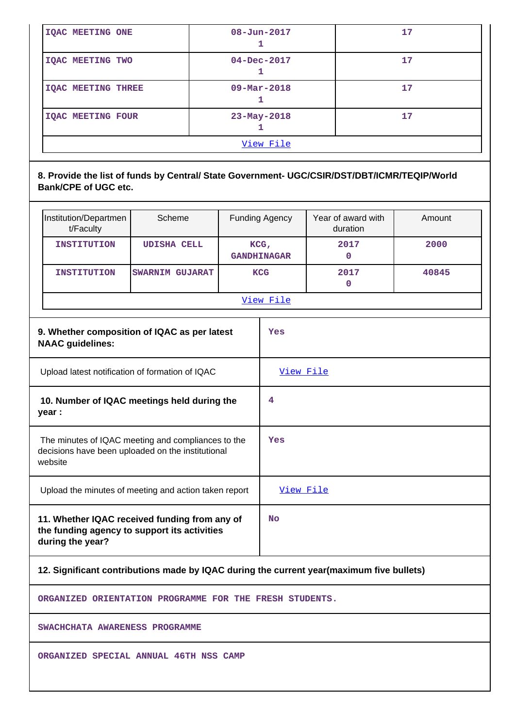| <b>IQAC MEETING ONE</b>   | $08 - Jun - 2017$        | 17 |  |  |
|---------------------------|--------------------------|----|--|--|
| <b>IQAC MEETING TWO</b>   | $04 - Dec - 2017$        |    |  |  |
| <b>IOAC MEETING THREE</b> | $09 - \text{Mar} - 2018$ | 17 |  |  |
| <b>IQAC MEETING FOUR</b>  | $23 - May - 2018$        | 17 |  |  |
| View File                 |                          |    |  |  |

# **8. Provide the list of funds by Central/ State Government- UGC/CSIR/DST/DBT/ICMR/TEQIP/World Bank/CPE of UGC etc.**

| Institution/Departmen<br>t/Faculty                                                                                 | Scheme                                       |  | <b>Funding Agency</b>         | Year of award with<br>duration | Amount |
|--------------------------------------------------------------------------------------------------------------------|----------------------------------------------|--|-------------------------------|--------------------------------|--------|
| <b>INSTITUTION</b>                                                                                                 | <b>UDISHA CELL</b>                           |  | $KCG$ ,<br><b>GANDHINAGAR</b> | 2017<br>$\mathbf 0$            | 2000   |
| <b>INSTITUTION</b>                                                                                                 | <b>SWARNIM GUJARAT</b>                       |  | <b>KCG</b>                    | 2017<br>$\mathbf 0$            | 40845  |
|                                                                                                                    |                                              |  | View File                     |                                |        |
| <b>NAAC</b> guidelines:                                                                                            | 9. Whether composition of IQAC as per latest |  | Yes                           |                                |        |
| Upload latest notification of formation of IQAC                                                                    |                                              |  | View File                     |                                |        |
| 10. Number of IQAC meetings held during the<br>year :                                                              |                                              |  | 4                             |                                |        |
| The minutes of IQAC meeting and compliances to the<br>decisions have been uploaded on the institutional<br>website |                                              |  | Yes                           |                                |        |
| Upload the minutes of meeting and action taken report                                                              |                                              |  | View File                     |                                |        |
| 11. Whether IQAC received funding from any of<br>the funding agency to support its activities<br>during the year?  |                                              |  | <b>No</b>                     |                                |        |

# **12. Significant contributions made by IQAC during the current year(maximum five bullets)**

**ORGANIZED ORIENTATION PROGRAMME FOR THE FRESH STUDENTS.**

**SWACHCHATA AWARENESS PROGRAMME**

**ORGANIZED SPECIAL ANNUAL 46TH NSS CAMP**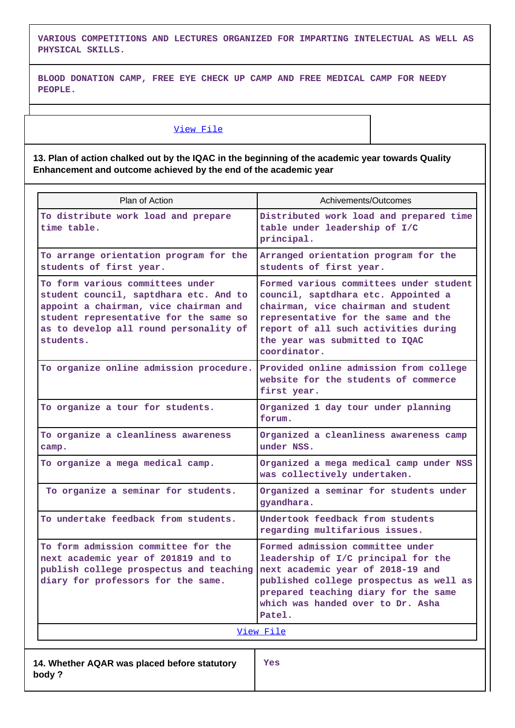**VARIOUS COMPETITIONS AND LECTURES ORGANIZED FOR IMPARTING INTELECTUAL AS WELL AS PHYSICAL SKILLS.**

**BLOOD DONATION CAMP, FREE EYE CHECK UP CAMP AND FREE MEDICAL CAMP FOR NEEDY PEOPLE.**

### [View File](https://assessmentonline.naac.gov.in/public/Postacc/Contribution/10290_Contribution.xlsx)

**13. Plan of action chalked out by the IQAC in the beginning of the academic year towards Quality Enhancement and outcome achieved by the end of the academic year**

| Plan of Action                                                                                                                                                                                                       | Achivements/Outcomes                                                                                                                                                                                                                                   |
|----------------------------------------------------------------------------------------------------------------------------------------------------------------------------------------------------------------------|--------------------------------------------------------------------------------------------------------------------------------------------------------------------------------------------------------------------------------------------------------|
| To distribute work load and prepare<br>time table.                                                                                                                                                                   | Distributed work load and prepared time<br>table under leadership of I/C<br>principal.                                                                                                                                                                 |
| To arrange orientation program for the<br>students of first year.                                                                                                                                                    | Arranged orientation program for the<br>students of first year.                                                                                                                                                                                        |
| To form various committees under<br>student council, saptdhara etc. And to<br>appoint a chairman, vice chairman and<br>student representative for the same so<br>as to develop all round personality of<br>students. | Formed various committees under student<br>council, saptdhara etc. Appointed a<br>chairman, vice chairman and student<br>representative for the same and the<br>report of all such activities during<br>the year was submitted to IQAC<br>coordinator. |
| To organize online admission procedure.                                                                                                                                                                              | Provided online admission from college<br>website for the students of commerce<br>first year.                                                                                                                                                          |
| To organize a tour for students.                                                                                                                                                                                     | Organized 1 day tour under planning<br>forum.                                                                                                                                                                                                          |
| To organize a cleanliness awareness<br>camp.                                                                                                                                                                         | Organized a cleanliness awareness camp<br>under NSS.                                                                                                                                                                                                   |
| To organize a mega medical camp.                                                                                                                                                                                     | Organized a mega medical camp under NSS<br>was collectively undertaken.                                                                                                                                                                                |
| To organize a seminar for students.                                                                                                                                                                                  | Organized a seminar for students under<br>gyandhara.                                                                                                                                                                                                   |
| To undertake feedback from students.                                                                                                                                                                                 | Undertook feedback from students<br>regarding multifarious issues.                                                                                                                                                                                     |
| To form admission committee for the<br>next academic year of 201819 and to<br>publish college prospectus and teaching<br>diary for professors for the same.                                                          | Formed admission committee under<br>leadership of I/C principal for the<br>next academic year of 2018-19 and<br>published college prospectus as well as<br>prepared teaching diary for the same<br>which was handed over to Dr. Asha<br>Patel.         |
|                                                                                                                                                                                                                      | <u>View File</u>                                                                                                                                                                                                                                       |
| 14. Whether AQAR was placed before statutory<br>body?                                                                                                                                                                | Yes                                                                                                                                                                                                                                                    |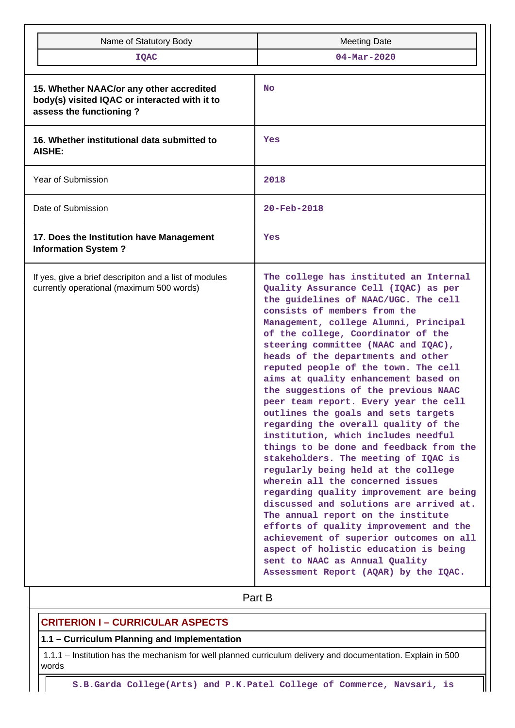| Name of Statutory Body                                                                                               | <b>Meeting Date</b>                                                                                                                                                                                                                                                                                                                                                                                                                                                                                                                                                                                                                                                                                                                                                                                                                                                                                                                                                                                                                                                                                          |  |  |  |
|----------------------------------------------------------------------------------------------------------------------|--------------------------------------------------------------------------------------------------------------------------------------------------------------------------------------------------------------------------------------------------------------------------------------------------------------------------------------------------------------------------------------------------------------------------------------------------------------------------------------------------------------------------------------------------------------------------------------------------------------------------------------------------------------------------------------------------------------------------------------------------------------------------------------------------------------------------------------------------------------------------------------------------------------------------------------------------------------------------------------------------------------------------------------------------------------------------------------------------------------|--|--|--|
| <b>IQAC</b>                                                                                                          | $04 - Mar - 2020$                                                                                                                                                                                                                                                                                                                                                                                                                                                                                                                                                                                                                                                                                                                                                                                                                                                                                                                                                                                                                                                                                            |  |  |  |
| 15. Whether NAAC/or any other accredited<br>body(s) visited IQAC or interacted with it to<br>assess the functioning? | <b>No</b>                                                                                                                                                                                                                                                                                                                                                                                                                                                                                                                                                                                                                                                                                                                                                                                                                                                                                                                                                                                                                                                                                                    |  |  |  |
| 16. Whether institutional data submitted to<br><b>AISHE:</b>                                                         | Yes                                                                                                                                                                                                                                                                                                                                                                                                                                                                                                                                                                                                                                                                                                                                                                                                                                                                                                                                                                                                                                                                                                          |  |  |  |
| Year of Submission                                                                                                   | 2018                                                                                                                                                                                                                                                                                                                                                                                                                                                                                                                                                                                                                                                                                                                                                                                                                                                                                                                                                                                                                                                                                                         |  |  |  |
| Date of Submission                                                                                                   | $20 - \text{Feb} - 2018$                                                                                                                                                                                                                                                                                                                                                                                                                                                                                                                                                                                                                                                                                                                                                                                                                                                                                                                                                                                                                                                                                     |  |  |  |
| 17. Does the Institution have Management<br><b>Information System?</b>                                               | Yes                                                                                                                                                                                                                                                                                                                                                                                                                                                                                                                                                                                                                                                                                                                                                                                                                                                                                                                                                                                                                                                                                                          |  |  |  |
| If yes, give a brief descripiton and a list of modules<br>currently operational (maximum 500 words)                  | The college has instituted an Internal<br>Quality Assurance Cell (IQAC) as per<br>the guidelines of NAAC/UGC. The cell<br>consists of members from the<br>Management, college Alumni, Principal<br>of the college, Coordinator of the<br>steering committee (NAAC and IQAC),<br>heads of the departments and other<br>reputed people of the town. The cell<br>aims at quality enhancement based on<br>the suggestions of the previous NAAC<br>peer team report. Every year the cell<br>outlines the goals and sets targets<br>regarding the overall quality of the<br>institution, which includes needful<br>things to be done and feedback from the<br>stakeholders. The meeting of IQAC is<br>regularly being held at the college<br>wherein all the concerned issues<br>regarding quality improvement are being<br>discussed and solutions are arrived at.<br>The annual report on the institute<br>efforts of quality improvement and the<br>achievement of superior outcomes on all<br>aspect of holistic education is being<br>sent to NAAC as Annual Quality<br>Assessment Report (AQAR) by the IQAC. |  |  |  |
|                                                                                                                      | Part B                                                                                                                                                                                                                                                                                                                                                                                                                                                                                                                                                                                                                                                                                                                                                                                                                                                                                                                                                                                                                                                                                                       |  |  |  |

# **CRITERION I – CURRICULAR ASPECTS**

# **1.1 – Curriculum Planning and Implementation**

 1.1.1 – Institution has the mechanism for well planned curriculum delivery and documentation. Explain in 500 words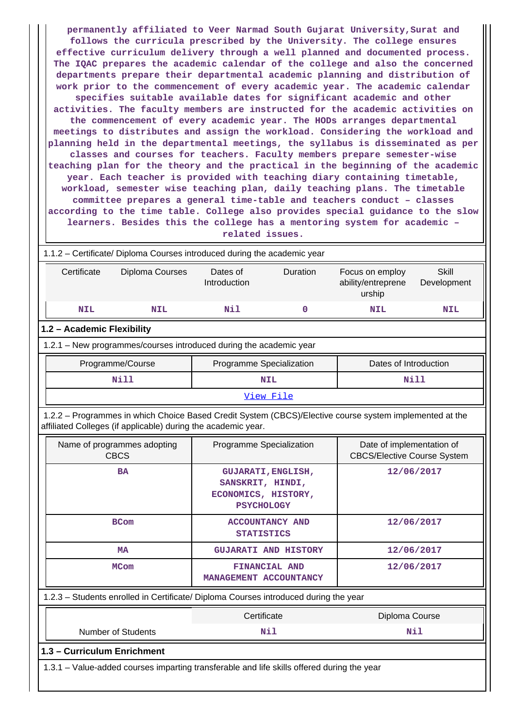**permanently affiliated to Veer Narmad South Gujarat University,Surat and follows the curricula prescribed by the University. The college ensures effective curriculum delivery through a well planned and documented process. The IQAC prepares the academic calendar of the college and also the concerned departments prepare their departmental academic planning and distribution of work prior to the commencement of every academic year. The academic calendar specifies suitable available dates for significant academic and other activities. The faculty members are instructed for the academic activities on the commencement of every academic year. The HODs arranges departmental meetings to distributes and assign the workload. Considering the workload and planning held in the departmental meetings, the syllabus is disseminated as per classes and courses for teachers. Faculty members prepare semester-wise teaching plan for the theory and the practical in the beginning of the academic year. Each teacher is provided with teaching diary containing timetable, workload, semester wise teaching plan, daily teaching plans. The timetable committee prepares a general time-table and teachers conduct – classes according to the time table. College also provides special guidance to the slow learners. Besides this the college has a mentoring system for academic – related issues.**

 1.1.2 – Certificate/ Diploma Courses introduced during the academic year Certificate Diploma Courses Dates of Introduction Duration Focus on employ ability/entreprene urship **Skill** Development  **NIL NIL Nil 0 NIL NIL 1.2 – Academic Flexibility** 1.2.1 – New programmes/courses introduced during the academic year Programme/Course **Programme Specialization** Programme Specialization **Programme** Dates of Introduction  **Nill NIL Nill** [View File](https://assessmentonline.naac.gov.in/public/Postacc/Program_introduced/10290_Program_introduced_1618454486.xlsx)

 1.2.2 – Programmes in which Choice Based Credit System (CBCS)/Elective course system implemented at the affiliated Colleges (if applicable) during the academic year.

| Name of programmes adopting<br><b>CBCS</b>                                                 | Programme Specialization                                                                  | Date of implementation of<br><b>CBCS/Elective Course System</b> |
|--------------------------------------------------------------------------------------------|-------------------------------------------------------------------------------------------|-----------------------------------------------------------------|
| <b>BA</b>                                                                                  | <b>GUJARATI, ENGLISH,</b><br>SANSKRIT, HINDI,<br>ECONOMICS, HISTORY,<br><b>PSYCHOLOGY</b> | 12/06/2017                                                      |
| <b>BCom</b>                                                                                | <b>ACCOUNTANCY AND</b><br><b>STATISTICS</b>                                               | 12/06/2017                                                      |
| <b>MA</b>                                                                                  | <b>GUJARATI AND HISTORY</b>                                                               | 12/06/2017                                                      |
| <b>MCom</b>                                                                                | FINANCIAL AND<br>MANAGEMENT ACCOUNTANCY                                                   | 12/06/2017                                                      |
| 1.2.3 – Students enrolled in Certificate/ Diploma Courses introduced during the year       |                                                                                           |                                                                 |
|                                                                                            | Certificate                                                                               | Diploma Course                                                  |
| <b>Number of Students</b>                                                                  | Nil                                                                                       | Nil                                                             |
| 1.3 - Curriculum Enrichment                                                                |                                                                                           |                                                                 |
| 1.3.1 – Value-added courses imparting transferable and life skills offered during the year |                                                                                           |                                                                 |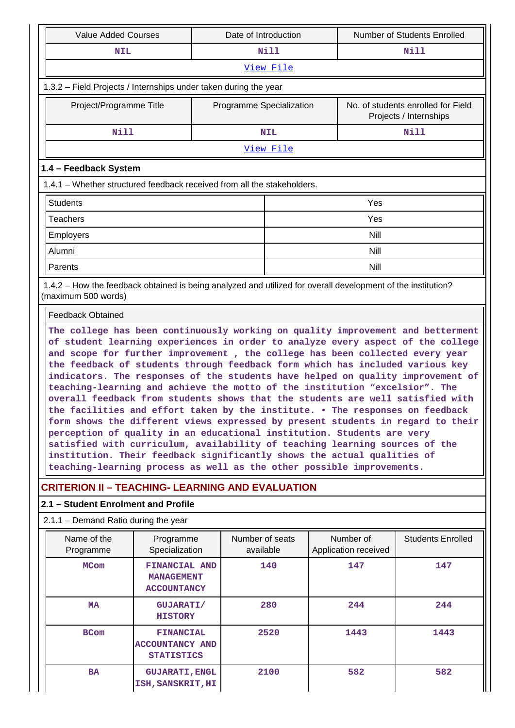| <b>Value Added Courses</b>                                                                                                                                                                                                                                                                                                                                                                                                                                                                                                                                                                                                                                                                                                                                                                                                                                                                                                                                                                                                                                               |                                                                 | Date of Introduction     |                 |  |                                   | Number of Students Enrolled                                  |
|--------------------------------------------------------------------------------------------------------------------------------------------------------------------------------------------------------------------------------------------------------------------------------------------------------------------------------------------------------------------------------------------------------------------------------------------------------------------------------------------------------------------------------------------------------------------------------------------------------------------------------------------------------------------------------------------------------------------------------------------------------------------------------------------------------------------------------------------------------------------------------------------------------------------------------------------------------------------------------------------------------------------------------------------------------------------------|-----------------------------------------------------------------|--------------------------|-----------------|--|-----------------------------------|--------------------------------------------------------------|
| <b>NIL</b>                                                                                                                                                                                                                                                                                                                                                                                                                                                                                                                                                                                                                                                                                                                                                                                                                                                                                                                                                                                                                                                               |                                                                 |                          | <b>Nill</b>     |  |                                   | Nill                                                         |
|                                                                                                                                                                                                                                                                                                                                                                                                                                                                                                                                                                                                                                                                                                                                                                                                                                                                                                                                                                                                                                                                          |                                                                 |                          | View File       |  |                                   |                                                              |
| 1.3.2 - Field Projects / Internships under taken during the year                                                                                                                                                                                                                                                                                                                                                                                                                                                                                                                                                                                                                                                                                                                                                                                                                                                                                                                                                                                                         |                                                                 |                          |                 |  |                                   |                                                              |
| Project/Programme Title                                                                                                                                                                                                                                                                                                                                                                                                                                                                                                                                                                                                                                                                                                                                                                                                                                                                                                                                                                                                                                                  |                                                                 | Programme Specialization |                 |  |                                   | No. of students enrolled for Field<br>Projects / Internships |
| <b>Nill</b>                                                                                                                                                                                                                                                                                                                                                                                                                                                                                                                                                                                                                                                                                                                                                                                                                                                                                                                                                                                                                                                              |                                                                 |                          | <b>NIL</b>      |  |                                   | Nill                                                         |
|                                                                                                                                                                                                                                                                                                                                                                                                                                                                                                                                                                                                                                                                                                                                                                                                                                                                                                                                                                                                                                                                          |                                                                 |                          | View File       |  |                                   |                                                              |
| 1.4 - Feedback System                                                                                                                                                                                                                                                                                                                                                                                                                                                                                                                                                                                                                                                                                                                                                                                                                                                                                                                                                                                                                                                    |                                                                 |                          |                 |  |                                   |                                                              |
| 1.4.1 – Whether structured feedback received from all the stakeholders.                                                                                                                                                                                                                                                                                                                                                                                                                                                                                                                                                                                                                                                                                                                                                                                                                                                                                                                                                                                                  |                                                                 |                          |                 |  |                                   |                                                              |
| <b>Students</b>                                                                                                                                                                                                                                                                                                                                                                                                                                                                                                                                                                                                                                                                                                                                                                                                                                                                                                                                                                                                                                                          |                                                                 |                          |                 |  | Yes                               |                                                              |
| <b>Teachers</b>                                                                                                                                                                                                                                                                                                                                                                                                                                                                                                                                                                                                                                                                                                                                                                                                                                                                                                                                                                                                                                                          |                                                                 |                          |                 |  | Yes                               |                                                              |
| Employers                                                                                                                                                                                                                                                                                                                                                                                                                                                                                                                                                                                                                                                                                                                                                                                                                                                                                                                                                                                                                                                                |                                                                 |                          |                 |  | Nill                              |                                                              |
| Alumni                                                                                                                                                                                                                                                                                                                                                                                                                                                                                                                                                                                                                                                                                                                                                                                                                                                                                                                                                                                                                                                                   |                                                                 |                          |                 |  | Nill                              |                                                              |
| Parents                                                                                                                                                                                                                                                                                                                                                                                                                                                                                                                                                                                                                                                                                                                                                                                                                                                                                                                                                                                                                                                                  |                                                                 |                          |                 |  | Nill                              |                                                              |
| 1.4.2 - How the feedback obtained is being analyzed and utilized for overall development of the institution?<br>(maximum 500 words)                                                                                                                                                                                                                                                                                                                                                                                                                                                                                                                                                                                                                                                                                                                                                                                                                                                                                                                                      |                                                                 |                          |                 |  |                                   |                                                              |
| <b>Feedback Obtained</b>                                                                                                                                                                                                                                                                                                                                                                                                                                                                                                                                                                                                                                                                                                                                                                                                                                                                                                                                                                                                                                                 |                                                                 |                          |                 |  |                                   |                                                              |
| The college has been continuously working on quality improvement and betterment<br>of student learning experiences in order to analyze every aspect of the college<br>and scope for further improvement, the college has been collected every year<br>the feedback of students through feedback form which has included various key<br>indicators. The responses of the students have helped on quality improvement of<br>teaching-learning and achieve the motto of the institution "excelsior". The<br>overall feedback from students shows that the students are well satisfied with<br>the facilities and effort taken by the institute. . The responses on feedback<br>form shows the different views expressed by present students in regard to their<br>perception of quality in an educational institution. Students are very<br>satisfied with curriculum, availability of teaching learning sources of the<br>institution. Their feedback significantly shows the actual qualities of<br>teaching-learning process as well as the other possible improvements. |                                                                 |                          |                 |  |                                   |                                                              |
| <b>CRITERION II - TEACHING- LEARNING AND EVALUATION</b>                                                                                                                                                                                                                                                                                                                                                                                                                                                                                                                                                                                                                                                                                                                                                                                                                                                                                                                                                                                                                  |                                                                 |                          |                 |  |                                   |                                                              |
| 2.1 - Student Enrolment and Profile                                                                                                                                                                                                                                                                                                                                                                                                                                                                                                                                                                                                                                                                                                                                                                                                                                                                                                                                                                                                                                      |                                                                 |                          |                 |  |                                   |                                                              |
| 2.1.1 - Demand Ratio during the year                                                                                                                                                                                                                                                                                                                                                                                                                                                                                                                                                                                                                                                                                                                                                                                                                                                                                                                                                                                                                                     |                                                                 |                          |                 |  |                                   |                                                              |
| Name of the<br>Programme                                                                                                                                                                                                                                                                                                                                                                                                                                                                                                                                                                                                                                                                                                                                                                                                                                                                                                                                                                                                                                                 | Programme<br>Specialization                                     | available                | Number of seats |  | Number of<br>Application received | <b>Students Enrolled</b>                                     |
| <b>MCom</b>                                                                                                                                                                                                                                                                                                                                                                                                                                                                                                                                                                                                                                                                                                                                                                                                                                                                                                                                                                                                                                                              | FINANCIAL AND<br><b>MANAGEMENT</b><br><b>ACCOUNTANCY</b>        |                          | 140             |  | 147                               | 147                                                          |
| MA                                                                                                                                                                                                                                                                                                                                                                                                                                                                                                                                                                                                                                                                                                                                                                                                                                                                                                                                                                                                                                                                       | <b>GUJARATI/</b><br><b>HISTORY</b>                              |                          | 280             |  | 244                               | 244                                                          |
| <b>BCom</b>                                                                                                                                                                                                                                                                                                                                                                                                                                                                                                                                                                                                                                                                                                                                                                                                                                                                                                                                                                                                                                                              | <b>FINANCIAL</b><br><b>ACCOUNTANCY AND</b><br><b>STATISTICS</b> |                          | 2520            |  | 1443                              | 1443                                                         |
| <b>BA</b>                                                                                                                                                                                                                                                                                                                                                                                                                                                                                                                                                                                                                                                                                                                                                                                                                                                                                                                                                                                                                                                                | <b>GUJARATI, ENGL</b><br>ISH, SANSKRIT, HI                      |                          | 2100            |  | 582                               | 582                                                          |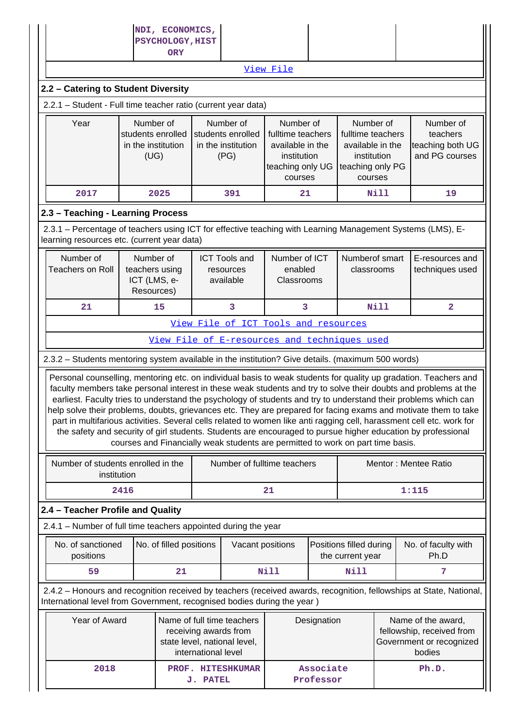|                                                                                                                                                           |                                                                | NDI, ECONOMICS,                |                     |                                                                                     |                                                                                     |             |                                                                                     |             |                                                                                                                                                                                                                                                                                                                                                                                                                                                                                                                                                                                                                                                                                                                    |
|-----------------------------------------------------------------------------------------------------------------------------------------------------------|----------------------------------------------------------------|--------------------------------|---------------------|-------------------------------------------------------------------------------------|-------------------------------------------------------------------------------------|-------------|-------------------------------------------------------------------------------------|-------------|--------------------------------------------------------------------------------------------------------------------------------------------------------------------------------------------------------------------------------------------------------------------------------------------------------------------------------------------------------------------------------------------------------------------------------------------------------------------------------------------------------------------------------------------------------------------------------------------------------------------------------------------------------------------------------------------------------------------|
|                                                                                                                                                           |                                                                | PSYCHOLOGY, HIST<br><b>ORY</b> |                     |                                                                                     |                                                                                     |             |                                                                                     |             |                                                                                                                                                                                                                                                                                                                                                                                                                                                                                                                                                                                                                                                                                                                    |
|                                                                                                                                                           |                                                                |                                |                     |                                                                                     | View File                                                                           |             |                                                                                     |             |                                                                                                                                                                                                                                                                                                                                                                                                                                                                                                                                                                                                                                                                                                                    |
| 2.2 - Catering to Student Diversity                                                                                                                       |                                                                |                                |                     |                                                                                     |                                                                                     |             |                                                                                     |             |                                                                                                                                                                                                                                                                                                                                                                                                                                                                                                                                                                                                                                                                                                                    |
| 2.2.1 - Student - Full time teacher ratio (current year data)                                                                                             |                                                                |                                |                     |                                                                                     |                                                                                     |             |                                                                                     |             |                                                                                                                                                                                                                                                                                                                                                                                                                                                                                                                                                                                                                                                                                                                    |
| Year                                                                                                                                                      | Number of                                                      |                                |                     | Number of                                                                           | Number of                                                                           |             | Number of                                                                           |             | Number of                                                                                                                                                                                                                                                                                                                                                                                                                                                                                                                                                                                                                                                                                                          |
|                                                                                                                                                           | students enrolled<br>in the institution<br>(UG)                |                                |                     | students enrolled<br>in the institution<br>(PG)                                     | fulltime teachers<br>available in the<br>institution<br>teaching only UG<br>courses |             | fulltime teachers<br>available in the<br>institution<br>teaching only PG<br>courses |             | teachers<br>teaching both UG<br>and PG courses                                                                                                                                                                                                                                                                                                                                                                                                                                                                                                                                                                                                                                                                     |
| 2017                                                                                                                                                      |                                                                | 2025                           |                     | 391                                                                                 | 21                                                                                  |             |                                                                                     | Nill        | 19                                                                                                                                                                                                                                                                                                                                                                                                                                                                                                                                                                                                                                                                                                                 |
| 2.3 - Teaching - Learning Process                                                                                                                         |                                                                |                                |                     |                                                                                     |                                                                                     |             |                                                                                     |             |                                                                                                                                                                                                                                                                                                                                                                                                                                                                                                                                                                                                                                                                                                                    |
| 2.3.1 – Percentage of teachers using ICT for effective teaching with Learning Management Systems (LMS), E-<br>learning resources etc. (current year data) |                                                                |                                |                     |                                                                                     |                                                                                     |             |                                                                                     |             |                                                                                                                                                                                                                                                                                                                                                                                                                                                                                                                                                                                                                                                                                                                    |
| Number of<br><b>Teachers on Roll</b>                                                                                                                      | Number of<br>teachers using<br>ICT (LMS, e-<br>Resources)      |                                |                     | <b>ICT Tools and</b><br>resources<br>available                                      | Number of ICT<br>enabled<br>Classrooms                                              |             | Numberof smart<br>classrooms                                                        |             | E-resources and<br>techniques used                                                                                                                                                                                                                                                                                                                                                                                                                                                                                                                                                                                                                                                                                 |
| 21                                                                                                                                                        | 15                                                             |                                |                     |                                                                                     | 3                                                                                   |             |                                                                                     | <b>Nill</b> | $\overline{a}$                                                                                                                                                                                                                                                                                                                                                                                                                                                                                                                                                                                                                                                                                                     |
|                                                                                                                                                           |                                                                |                                |                     | View File of ICT Tools and resources                                                |                                                                                     |             |                                                                                     |             |                                                                                                                                                                                                                                                                                                                                                                                                                                                                                                                                                                                                                                                                                                                    |
|                                                                                                                                                           |                                                                |                                |                     | View File of E-resources and techniques used                                        |                                                                                     |             |                                                                                     |             |                                                                                                                                                                                                                                                                                                                                                                                                                                                                                                                                                                                                                                                                                                                    |
| 2.3.2 - Students mentoring system available in the institution? Give details. (maximum 500 words)                                                         |                                                                |                                |                     |                                                                                     |                                                                                     |             |                                                                                     |             |                                                                                                                                                                                                                                                                                                                                                                                                                                                                                                                                                                                                                                                                                                                    |
|                                                                                                                                                           |                                                                |                                |                     | courses and Financially weak students are permitted to work on part time basis.     |                                                                                     |             |                                                                                     |             | Personal counselling, mentoring etc. on individual basis to weak students for quality up gradation. Teachers and<br>faculty members take personal interest in these weak students and try to solve their doubts and problems at the<br>earliest. Faculty tries to understand the psychology of students and try to understand their problems which can<br>help solve their problems, doubts, grievances etc. They are prepared for facing exams and motivate them to take<br>part in multifarious activities. Several cells related to women like anti ragging cell, harassment cell etc. work for<br>the safety and security of girl students. Students are encouraged to pursue higher education by professional |
| Number of students enrolled in the<br>institution                                                                                                         |                                                                |                                |                     | Number of fulltime teachers                                                         |                                                                                     |             |                                                                                     |             | Mentor: Mentee Ratio                                                                                                                                                                                                                                                                                                                                                                                                                                                                                                                                                                                                                                                                                               |
|                                                                                                                                                           | 2416                                                           |                                |                     |                                                                                     | 21<br>1:115                                                                         |             |                                                                                     |             |                                                                                                                                                                                                                                                                                                                                                                                                                                                                                                                                                                                                                                                                                                                    |
| 2.4 - Teacher Profile and Quality                                                                                                                         |                                                                |                                |                     |                                                                                     |                                                                                     |             |                                                                                     |             |                                                                                                                                                                                                                                                                                                                                                                                                                                                                                                                                                                                                                                                                                                                    |
| 2.4.1 – Number of full time teachers appointed during the year                                                                                            |                                                                |                                |                     |                                                                                     |                                                                                     |             |                                                                                     |             |                                                                                                                                                                                                                                                                                                                                                                                                                                                                                                                                                                                                                                                                                                                    |
| No. of sanctioned<br>positions                                                                                                                            |                                                                | No. of filled positions        |                     | Vacant positions                                                                    |                                                                                     |             | Positions filled during<br>the current year                                         |             | No. of faculty with<br>Ph.D                                                                                                                                                                                                                                                                                                                                                                                                                                                                                                                                                                                                                                                                                        |
| 59                                                                                                                                                        |                                                                | 21                             |                     |                                                                                     | Nill                                                                                |             | <b>Nill</b>                                                                         |             | 7                                                                                                                                                                                                                                                                                                                                                                                                                                                                                                                                                                                                                                                                                                                  |
| International level from Government, recognised bodies during the year)                                                                                   |                                                                |                                |                     |                                                                                     |                                                                                     |             |                                                                                     |             | 2.4.2 - Honours and recognition received by teachers (received awards, recognition, fellowships at State, National,                                                                                                                                                                                                                                                                                                                                                                                                                                                                                                                                                                                                |
| Year of Award                                                                                                                                             |                                                                |                                | international level | Name of full time teachers<br>receiving awards from<br>state level, national level, |                                                                                     | Designation |                                                                                     |             | Name of the award,<br>fellowship, received from<br>Government or recognized<br>bodies                                                                                                                                                                                                                                                                                                                                                                                                                                                                                                                                                                                                                              |
| 2018                                                                                                                                                      | Associate<br>PROF. HITESHKUMAR<br>Professor<br><b>J. PATEL</b> |                                |                     |                                                                                     |                                                                                     |             | Ph.D.                                                                               |             |                                                                                                                                                                                                                                                                                                                                                                                                                                                                                                                                                                                                                                                                                                                    |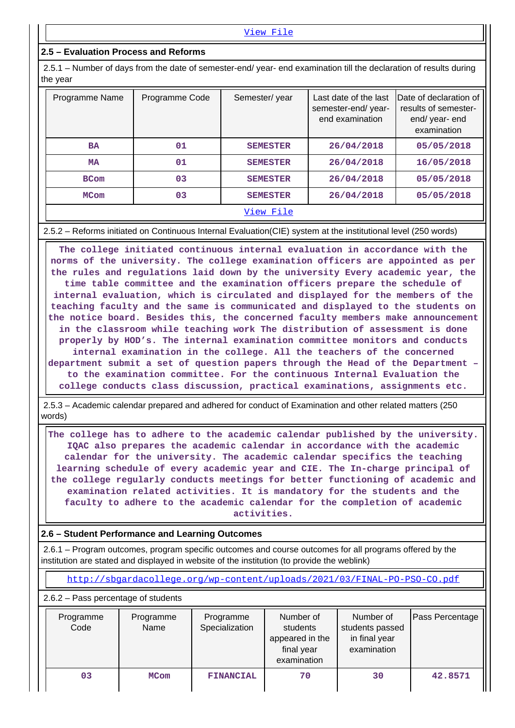# **2.5 – Evaluation Process and Reforms**

 2.5.1 – Number of days from the date of semester-end/ year- end examination till the declaration of results during the year

| Programme Name | Programme Code | Semester/year   | Last date of the last<br>semester-end/year-<br>end examination | Date of declaration of<br>results of semester-<br>end/year-end<br>examination |
|----------------|----------------|-----------------|----------------------------------------------------------------|-------------------------------------------------------------------------------|
| <b>BA</b>      | 01             | <b>SEMESTER</b> | 26/04/2018                                                     | 05/05/2018                                                                    |
| <b>MA</b>      | 01             | <b>SEMESTER</b> | 26/04/2018                                                     | 16/05/2018                                                                    |
| <b>BCom</b>    | 03             | <b>SEMESTER</b> | 26/04/2018                                                     | 05/05/2018                                                                    |
| <b>MCom</b>    | 03             | <b>SEMESTER</b> | 26/04/2018                                                     | 05/05/2018                                                                    |
|                |                | View File       |                                                                |                                                                               |

#### 2.5.2 – Reforms initiated on Continuous Internal Evaluation(CIE) system at the institutional level (250 words)

 **The college initiated continuous internal evaluation in accordance with the norms of the university. The college examination officers are appointed as per the rules and regulations laid down by the university Every academic year, the time table committee and the examination officers prepare the schedule of internal evaluation, which is circulated and displayed for the members of the teaching faculty and the same is communicated and displayed to the students on the notice board. Besides this, the concerned faculty members make announcement in the classroom while teaching work The distribution of assessment is done properly by HOD's. The internal examination committee monitors and conducts internal examination in the college. All the teachers of the concerned department submit a set of question papers through the Head of the Department – to the examination committee. For the continuous Internal Evaluation the college conducts class discussion, practical examinations, assignments etc.**

 2.5.3 – Academic calendar prepared and adhered for conduct of Examination and other related matters (250 words)

 **The college has to adhere to the academic calendar published by the university. IQAC also prepares the academic calendar in accordance with the academic calendar for the university. The academic calendar specifics the teaching learning schedule of every academic year and CIE. The In-charge principal of the college regularly conducts meetings for better functioning of academic and examination related activities. It is mandatory for the students and the faculty to adhere to the academic calendar for the completion of academic activities.**

### **2.6 – Student Performance and Learning Outcomes**

 2.6.1 – Program outcomes, program specific outcomes and course outcomes for all programs offered by the institution are stated and displayed in website of the institution (to provide the weblink)

<http://sbgardacollege.org/wp-content/uploads/2021/03/FINAL-PO-PSO-CO.pdf>

2.6.2 – Pass percentage of students

| Programme<br>Code | Programme<br>Name | Programme<br>Specialization | Number of<br>students<br>appeared in the<br>final year<br>examination | Number of<br>students passed<br>in final year<br>examination | Pass Percentage |
|-------------------|-------------------|-----------------------------|-----------------------------------------------------------------------|--------------------------------------------------------------|-----------------|
| 03                | <b>MCom</b>       | <b>FINANCIAL</b>            | 70                                                                    | 30                                                           | 42.8571         |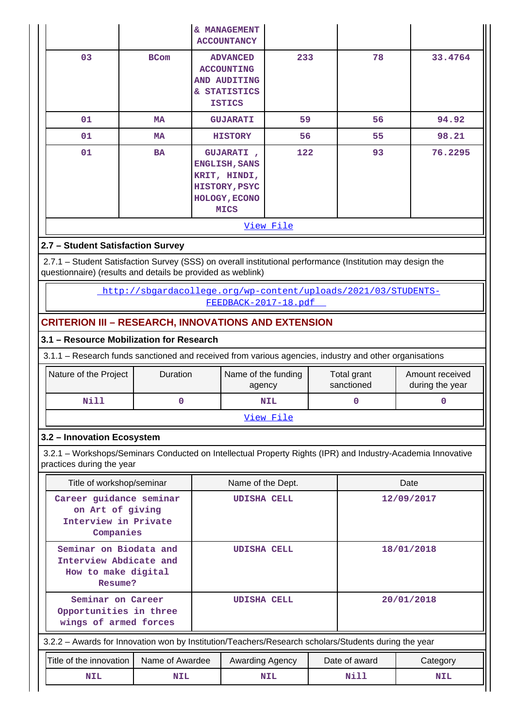|                                                                                                                                       |                                                                                                                                                                           |             | & MANAGEMENT<br><b>ACCOUNTANCY</b>                                                                         |            |  |              |          |  |  |
|---------------------------------------------------------------------------------------------------------------------------------------|---------------------------------------------------------------------------------------------------------------------------------------------------------------------------|-------------|------------------------------------------------------------------------------------------------------------|------------|--|--------------|----------|--|--|
|                                                                                                                                       | 03                                                                                                                                                                        | <b>BCom</b> | <b>ADVANCED</b><br><b>ACCOUNTING</b><br>AND AUDITING<br>& STATISTICS<br><b>ISTICS</b>                      | 233        |  | 78           | 33.4764  |  |  |
|                                                                                                                                       | 01                                                                                                                                                                        | <b>MA</b>   | <b>GUJARATI</b>                                                                                            | 59         |  | 56           | 94.92    |  |  |
|                                                                                                                                       | 01                                                                                                                                                                        | <b>MA</b>   | <b>HISTORY</b>                                                                                             | 56         |  | 55           | 98.21    |  |  |
|                                                                                                                                       | 01                                                                                                                                                                        | BA          | <b>GUJARATI</b> ,<br>ENGLISH, SANS<br>KRIT, HINDI,<br>HISTORY, PSYC<br><b>HOLOGY, ECONO</b><br><b>MICS</b> | 122        |  | 93           | 76.2295  |  |  |
|                                                                                                                                       |                                                                                                                                                                           |             |                                                                                                            | View File  |  |              |          |  |  |
|                                                                                                                                       | 2.7 - Student Satisfaction Survey                                                                                                                                         |             |                                                                                                            |            |  |              |          |  |  |
|                                                                                                                                       | 2.7.1 - Student Satisfaction Survey (SSS) on overall institutional performance (Institution may design the<br>questionnaire) (results and details be provided as weblink) |             |                                                                                                            |            |  |              |          |  |  |
|                                                                                                                                       |                                                                                                                                                                           |             | http://sbgardacollege.org/wp-content/uploads/2021/03/STUDENTS-<br>FEEDBACK-2017-18.pdf                     |            |  |              |          |  |  |
|                                                                                                                                       | <b>CRITERION III - RESEARCH, INNOVATIONS AND EXTENSION</b>                                                                                                                |             |                                                                                                            |            |  |              |          |  |  |
|                                                                                                                                       | 3.1 - Resource Mobilization for Research                                                                                                                                  |             |                                                                                                            |            |  |              |          |  |  |
|                                                                                                                                       | 3.1.1 – Research funds sanctioned and received from various agencies, industry and other organisations                                                                    |             |                                                                                                            |            |  |              |          |  |  |
| Nature of the Project<br>Duration<br>Name of the funding<br>Total grant<br>Amount received<br>sanctioned<br>during the year<br>agency |                                                                                                                                                                           |             |                                                                                                            |            |  |              |          |  |  |
|                                                                                                                                       | Nill                                                                                                                                                                      | $\mathbf 0$ |                                                                                                            | <b>NIL</b> |  | $\mathbf{O}$ | $\Omega$ |  |  |

#### [View File](https://assessmentonline.naac.gov.in/public/Postacc/Research_Fund/10290_Research_Fund_1618467231.xlsx)

# **3.2 – Innovation Ecosystem**

 3.2.1 – Workshops/Seminars Conducted on Intellectual Property Rights (IPR) and Industry-Academia Innovative practices during the year

| Title of workshop/seminar                                                          |                 |                    | Name of the Dept.                                                                                    |               |                    | Date       |  |
|------------------------------------------------------------------------------------|-----------------|--------------------|------------------------------------------------------------------------------------------------------|---------------|--------------------|------------|--|
| Career guidance seminar<br>on Art of giving<br>Interview in Private<br>Companies   |                 | <b>UDISHA CELL</b> |                                                                                                      |               | 12/09/2017         |            |  |
| Seminar on Biodata and<br>Interview Abdicate and<br>How to make digital<br>Resume? |                 | <b>UDISHA CELL</b> |                                                                                                      |               |                    | 18/01/2018 |  |
| Seminar on Career<br>Opportunities in three<br>wings of armed forces               |                 |                    | <b>UDISHA CELL</b>                                                                                   |               | 20/01/2018         |            |  |
|                                                                                    |                 |                    | 3.2.2 - Awards for Innovation won by Institution/Teachers/Research scholars/Students during the year |               |                    |            |  |
| Title of the innovation I                                                          | Name of Awardee | Awarding Agency    |                                                                                                      | Date of award | Category           |            |  |
| <b>NIL</b>                                                                         | <b>NIL</b>      |                    | <b>NIL</b>                                                                                           |               | Nill<br><b>NIL</b> |            |  |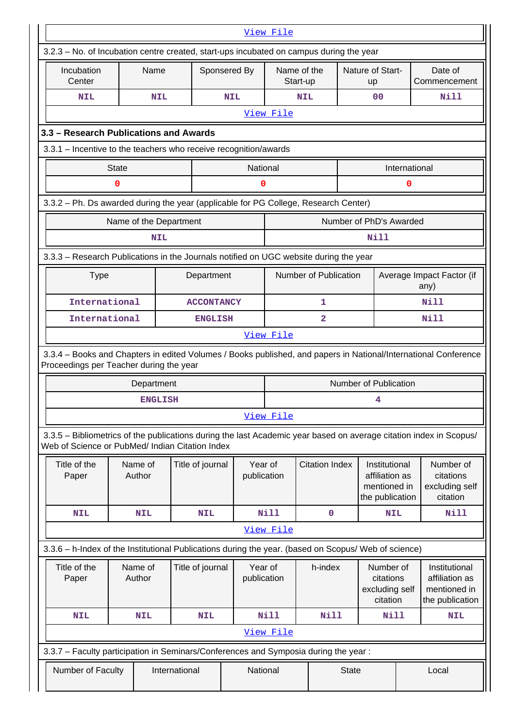|                                                                                                                                                                       |                   |                   |                        |                       |                                           | View File               |                       |                                                      |                                                                    |                                                                    |                                                      |  |
|-----------------------------------------------------------------------------------------------------------------------------------------------------------------------|-------------------|-------------------|------------------------|-----------------------|-------------------------------------------|-------------------------|-----------------------|------------------------------------------------------|--------------------------------------------------------------------|--------------------------------------------------------------------|------------------------------------------------------|--|
| 3.2.3 – No. of Incubation centre created, start-ups incubated on campus during the year                                                                               |                   |                   |                        |                       |                                           |                         |                       |                                                      |                                                                    |                                                                    |                                                      |  |
| Incubation<br>Center                                                                                                                                                  |                   | Name              |                        |                       | Sponsered By                              | Name of the<br>Start-up |                       |                                                      | Nature of Start-<br>up                                             |                                                                    | Date of<br>Commencement                              |  |
| NIL                                                                                                                                                                   |                   |                   | <b>NIL</b>             |                       | <b>NIL</b>                                |                         | <b>NIL</b>            |                                                      | 0 <sub>0</sub>                                                     |                                                                    | Nill                                                 |  |
|                                                                                                                                                                       |                   |                   |                        |                       |                                           | View File               |                       |                                                      |                                                                    |                                                                    |                                                      |  |
| 3.3 - Research Publications and Awards                                                                                                                                |                   |                   |                        |                       |                                           |                         |                       |                                                      |                                                                    |                                                                    |                                                      |  |
| 3.3.1 - Incentive to the teachers who receive recognition/awards                                                                                                      |                   |                   |                        |                       |                                           |                         |                       |                                                      |                                                                    |                                                                    |                                                      |  |
|                                                                                                                                                                       | <b>State</b>      |                   |                        |                       |                                           | National                |                       |                                                      |                                                                    | International                                                      |                                                      |  |
|                                                                                                                                                                       | 0                 |                   |                        |                       |                                           | 0                       |                       |                                                      |                                                                    | $\mathbf 0$                                                        |                                                      |  |
| 3.3.2 - Ph. Ds awarded during the year (applicable for PG College, Research Center)                                                                                   |                   |                   |                        |                       |                                           |                         |                       |                                                      |                                                                    |                                                                    |                                                      |  |
|                                                                                                                                                                       |                   |                   | Name of the Department |                       |                                           |                         |                       |                                                      | Number of PhD's Awarded                                            |                                                                    |                                                      |  |
|                                                                                                                                                                       |                   |                   | <b>NIL</b>             |                       |                                           |                         |                       |                                                      | Nill                                                               |                                                                    |                                                      |  |
| 3.3.3 - Research Publications in the Journals notified on UGC website during the year                                                                                 |                   |                   |                        |                       |                                           |                         |                       |                                                      |                                                                    |                                                                    |                                                      |  |
| <b>Type</b>                                                                                                                                                           |                   | Department        |                        | Number of Publication |                                           |                         |                       | Average Impact Factor (if<br>any)                    |                                                                    |                                                                    |                                                      |  |
| International                                                                                                                                                         |                   |                   |                        | <b>ACCONTANCY</b>     |                                           |                         | 1                     |                                                      |                                                                    | Nill                                                               |                                                      |  |
| International                                                                                                                                                         |                   |                   |                        |                       | $\overline{\mathbf{2}}$<br><b>ENGLISH</b> |                         |                       |                                                      | <b>Nill</b>                                                        |                                                                    |                                                      |  |
|                                                                                                                                                                       |                   |                   |                        |                       |                                           | View File               |                       |                                                      |                                                                    |                                                                    |                                                      |  |
| 3.3.4 - Books and Chapters in edited Volumes / Books published, and papers in National/International Conference<br>Proceedings per Teacher during the year            |                   |                   |                        |                       |                                           |                         |                       |                                                      |                                                                    |                                                                    |                                                      |  |
|                                                                                                                                                                       |                   | Department        |                        |                       |                                           |                         |                       |                                                      | Number of Publication                                              |                                                                    |                                                      |  |
|                                                                                                                                                                       |                   |                   | <b>ENGLISH</b>         |                       |                                           |                         |                       |                                                      | 4                                                                  |                                                                    |                                                      |  |
|                                                                                                                                                                       |                   |                   |                        |                       |                                           | View File               |                       |                                                      |                                                                    |                                                                    |                                                      |  |
| 3.3.5 – Bibliometrics of the publications during the last Academic year based on average citation index in Scopus/<br>Web of Science or PubMed/ Indian Citation Index |                   |                   |                        |                       |                                           |                         |                       |                                                      |                                                                    |                                                                    |                                                      |  |
| Title of the<br>Paper                                                                                                                                                 |                   | Name of<br>Author |                        | Title of journal      |                                           | Year of<br>publication  | <b>Citation Index</b> |                                                      | Institutional<br>affiliation as<br>mentioned in<br>the publication |                                                                    | Number of<br>citations<br>excluding self<br>citation |  |
| <b>NIL</b>                                                                                                                                                            |                   | <b>NIL</b>        |                        | <b>NIL</b>            |                                           | <b>Nill</b>             |                       | 0                                                    | <b>NIL</b>                                                         |                                                                    | Nill                                                 |  |
|                                                                                                                                                                       |                   |                   |                        |                       |                                           | View File               |                       |                                                      |                                                                    |                                                                    |                                                      |  |
| 3.3.6 - h-Index of the Institutional Publications during the year. (based on Scopus/ Web of science)                                                                  |                   |                   |                        |                       |                                           |                         |                       |                                                      |                                                                    |                                                                    |                                                      |  |
| Title of the<br>Paper                                                                                                                                                 | Name of<br>Author |                   | Title of journal       |                       | Year of<br>publication                    | h-index                 |                       | Number of<br>citations<br>excluding self<br>citation |                                                                    | Institutional<br>affiliation as<br>mentioned in<br>the publication |                                                      |  |
| <b>NIL</b>                                                                                                                                                            |                   | <b>NIL</b>        |                        | <b>NIL</b>            |                                           | Nill                    | <b>Nill</b>           |                                                      | Nill                                                               |                                                                    | <b>NIL</b>                                           |  |
|                                                                                                                                                                       |                   |                   |                        |                       |                                           | View File               |                       |                                                      |                                                                    |                                                                    |                                                      |  |
| 3.3.7 - Faculty participation in Seminars/Conferences and Symposia during the year:                                                                                   |                   |                   |                        |                       |                                           |                         |                       |                                                      |                                                                    |                                                                    |                                                      |  |
| Number of Faculty                                                                                                                                                     |                   |                   | International          |                       |                                           | National                |                       | <b>State</b>                                         |                                                                    | Local                                                              |                                                      |  |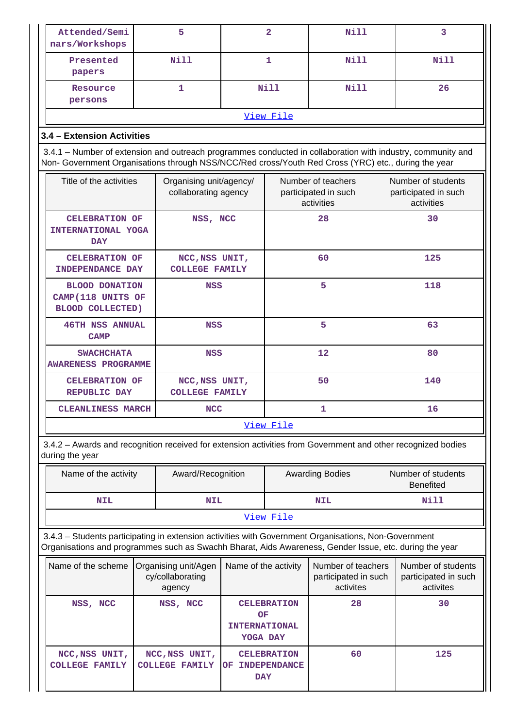| Attended/Semi<br>nars/Workshops                                                                                                                                                                                    |  | 5                                               |                                        | $\overline{\mathbf{2}}$  | Nill                                                     | 3   |                                                          |
|--------------------------------------------------------------------------------------------------------------------------------------------------------------------------------------------------------------------|--|-------------------------------------------------|----------------------------------------|--------------------------|----------------------------------------------------------|-----|----------------------------------------------------------|
| Presented<br>papers                                                                                                                                                                                                |  | Nill                                            |                                        | $\mathbf{1}$             | Nill                                                     |     | Nill                                                     |
| Resource<br>persons                                                                                                                                                                                                |  | 1                                               |                                        | Nill                     | Nill                                                     |     | 26                                                       |
|                                                                                                                                                                                                                    |  |                                                 |                                        | View File                |                                                          |     |                                                          |
| 3.4 - Extension Activities                                                                                                                                                                                         |  |                                                 |                                        |                          |                                                          |     |                                                          |
| 3.4.1 – Number of extension and outreach programmes conducted in collaboration with industry, community and<br>Non- Government Organisations through NSS/NCC/Red cross/Youth Red Cross (YRC) etc., during the year |  |                                                 |                                        |                          |                                                          |     |                                                          |
| Title of the activities                                                                                                                                                                                            |  | Organising unit/agency/<br>collaborating agency |                                        |                          | Number of teachers<br>participated in such<br>activities |     | Number of students<br>participated in such<br>activities |
| <b>CELEBRATION OF</b><br>INTERNATIONAL YOGA<br><b>DAY</b>                                                                                                                                                          |  | NSS, NCC                                        |                                        |                          | 28                                                       |     | 30                                                       |
| <b>CELEBRATION OF</b><br><b>INDEPENDANCE DAY</b>                                                                                                                                                                   |  | NCC, NSS UNIT,<br><b>COLLEGE FAMILY</b>         |                                        |                          | 60                                                       |     | 125                                                      |
| <b>BLOOD DONATION</b><br>CAMP(118 UNITS OF<br><b>BLOOD COLLECTED)</b>                                                                                                                                              |  | NSS                                             |                                        |                          | 5                                                        | 118 |                                                          |
| <b>46TH NSS ANNUAL</b><br><b>CAMP</b>                                                                                                                                                                              |  | <b>NSS</b>                                      |                                        |                          | 5                                                        |     | 63                                                       |
| <b>SWACHCHATA</b><br><b>AWARENESS PROGRAMME</b>                                                                                                                                                                    |  | <b>NSS</b>                                      |                                        |                          | 12                                                       |     | 80                                                       |
| <b>CELEBRATION OF</b><br><b>REPUBLIC DAY</b>                                                                                                                                                                       |  | NCC, NSS UNIT,<br><b>COLLEGE FAMILY</b>         |                                        |                          | 50                                                       |     | 140                                                      |
| <b>CLEANLINESS MARCH</b>                                                                                                                                                                                           |  | <b>NCC</b>                                      |                                        | $\mathbf{1}$             |                                                          | 16  |                                                          |
|                                                                                                                                                                                                                    |  |                                                 |                                        | View File                |                                                          |     |                                                          |
| 3.4.2 - Awards and recognition received for extension activities from Government and other recognized bodies<br>during the year                                                                                    |  |                                                 |                                        |                          |                                                          |     |                                                          |
| Name of the activity                                                                                                                                                                                               |  | Award/Recognition                               |                                        |                          | <b>Awarding Bodies</b>                                   |     | Number of students<br><b>Benefited</b>                   |
| <b>NIL</b>                                                                                                                                                                                                         |  | <b>NIL</b>                                      |                                        |                          | <b>NIL</b>                                               |     | Nill                                                     |
|                                                                                                                                                                                                                    |  |                                                 |                                        | View File                |                                                          |     |                                                          |
| 3.4.3 - Students participating in extension activities with Government Organisations, Non-Government<br>Organisations and programmes such as Swachh Bharat, Aids Awareness, Gender Issue, etc. during the year     |  |                                                 |                                        |                          |                                                          |     |                                                          |
| Name of the scheme<br>Organising unit/Agen<br>cy/collaborating<br>agency                                                                                                                                           |  |                                                 | Name of the activity                   |                          | Number of teachers<br>participated in such<br>activites  |     | Number of students<br>participated in such<br>activites  |
| NSS, NCC<br>NSS, NCC                                                                                                                                                                                               |  |                                                 | OF<br><b>INTERNATIONAL</b><br>YOGA DAY | <b>CELEBRATION</b>       | 28                                                       |     | 30                                                       |
| NCC, NSS UNIT,<br><b>COLLEGE FAMILY</b>                                                                                                                                                                            |  | NCC, NSS UNIT,<br><b>COLLEGE FAMILY</b>         | OF INDEPENDANCE<br><b>DAY</b>          | 60<br><b>CELEBRATION</b> |                                                          |     | 125                                                      |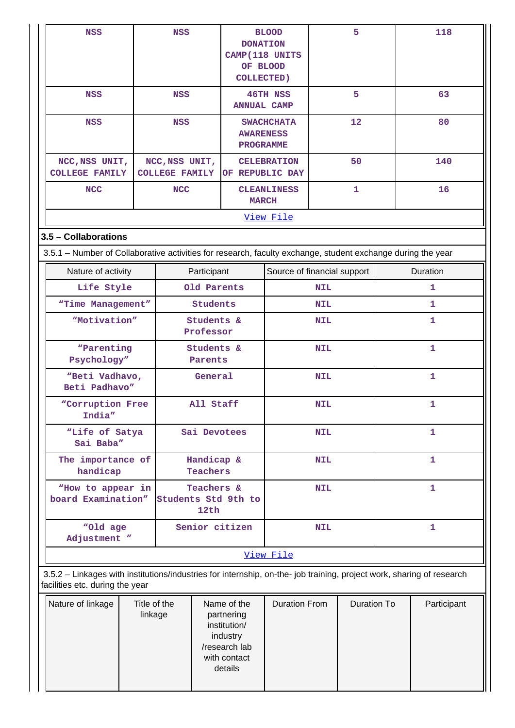| <b>NSS</b>                                                                                                                                               |                                            | <b>NSS</b>                              |                                                                                                   | <b>BLOOD</b><br><b>DONATION</b><br>CAMP(118 UNITS<br>OF BLOOD<br><b>COLLECTED)</b> |                                     | 5           |              | 118          |              |
|----------------------------------------------------------------------------------------------------------------------------------------------------------|--------------------------------------------|-----------------------------------------|---------------------------------------------------------------------------------------------------|------------------------------------------------------------------------------------|-------------------------------------|-------------|--------------|--------------|--------------|
| <b>NSS</b>                                                                                                                                               |                                            | <b>NSS</b>                              |                                                                                                   |                                                                                    | 46TH NSS<br>5<br><b>ANNUAL CAMP</b> |             |              |              | 63           |
| <b>NSS</b>                                                                                                                                               |                                            | <b>NSS</b>                              |                                                                                                   | <b>AWARENESS</b><br><b>PROGRAMME</b>                                               | <b>SWACHCHATA</b>                   | 12          |              |              | 80           |
| NCC, NSS UNIT,<br><b>COLLEGE FAMILY</b>                                                                                                                  |                                            | NCC, NSS UNIT,<br><b>COLLEGE FAMILY</b> |                                                                                                   | OF REPUBLIC DAY                                                                    | <b>CELEBRATION</b>                  |             | 50           |              | 140          |
| <b>NCC</b>                                                                                                                                               |                                            | <b>NCC</b>                              |                                                                                                   | <b>MARCH</b>                                                                       | <b>CLEANLINESS</b>                  |             | $\mathbf{1}$ |              | 16           |
|                                                                                                                                                          |                                            |                                         |                                                                                                   |                                                                                    | View File                           |             |              |              |              |
| 3.5 - Collaborations                                                                                                                                     |                                            |                                         |                                                                                                   |                                                                                    |                                     |             |              |              |              |
| 3.5.1 – Number of Collaborative activities for research, faculty exchange, student exchange during the year                                              |                                            |                                         |                                                                                                   |                                                                                    |                                     |             |              |              |              |
| Nature of activity                                                                                                                                       |                                            |                                         | Participant                                                                                       |                                                                                    | Source of financial support         |             |              |              | Duration     |
| Life Style                                                                                                                                               |                                            |                                         | Old Parents                                                                                       |                                                                                    |                                     | <b>NIL</b>  |              |              | 1            |
| "Time Management"                                                                                                                                        |                                            |                                         | Students                                                                                          |                                                                                    | <b>NIL</b>                          |             |              | 1            |              |
| "Motivation"                                                                                                                                             |                                            |                                         | Students &<br>Professor                                                                           |                                                                                    |                                     | <b>NIL</b>  |              |              | 1            |
| "Parenting<br>Psychology"                                                                                                                                |                                            |                                         | Students &<br>Parents                                                                             |                                                                                    |                                     | <b>NIL</b>  |              |              | $\mathbf{1}$ |
| "Beti Vadhavo,<br>Beti Padhavo"                                                                                                                          |                                            |                                         | General                                                                                           |                                                                                    | <b>NIL</b>                          |             |              |              | $\mathbf{1}$ |
| "Corruption Free<br>India"                                                                                                                               |                                            |                                         | All Staff                                                                                         |                                                                                    | <b>NIL</b>                          |             | $\mathbf{1}$ |              |              |
| "Life of Satya<br>Sai Baba"                                                                                                                              |                                            |                                         |                                                                                                   | Sai Devotees                                                                       | <b>NIL</b>                          |             |              | 1            |              |
| The importance of<br>handicap                                                                                                                            |                                            |                                         | Handicap &<br>Teachers                                                                            |                                                                                    |                                     | <b>NIL</b>  |              | $\mathbf{1}$ |              |
| "How to appear in<br>board Examination"                                                                                                                  |                                            |                                         | Teachers &<br>12th                                                                                | Students Std 9th to                                                                |                                     | <b>NIL</b>  |              |              | $\mathbf{1}$ |
|                                                                                                                                                          | "Old age<br>Senior citizen<br>Adjustment " |                                         |                                                                                                   |                                                                                    | <b>NIL</b>                          |             |              | $\mathbf{1}$ |              |
|                                                                                                                                                          |                                            |                                         |                                                                                                   |                                                                                    | View File                           |             |              |              |              |
| 3.5.2 - Linkages with institutions/industries for internship, on-the- job training, project work, sharing of research<br>facilities etc. during the year |                                            |                                         |                                                                                                   |                                                                                    |                                     |             |              |              |              |
| Nature of linkage<br>Title of the<br>linkage                                                                                                             |                                            |                                         | Name of the<br>partnering<br>institution/<br>industry<br>/research lab<br>with contact<br>details | <b>Duration From</b>                                                               |                                     | Duration To |              | Participant  |              |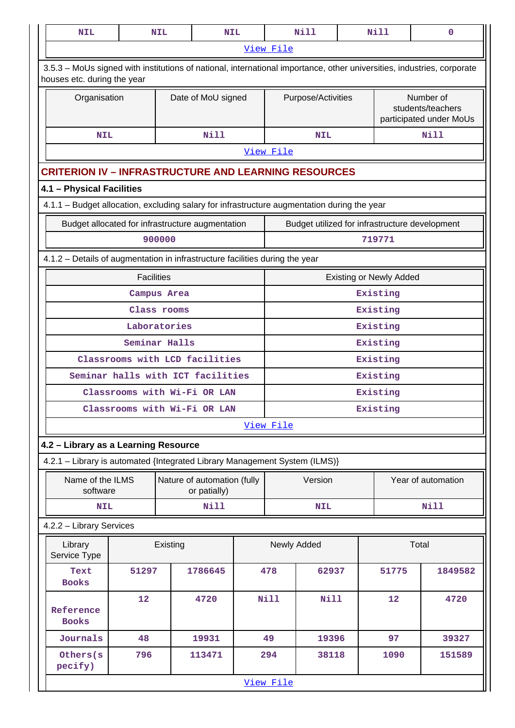| <b>NIL</b>                                                                                                                                            |                                   | <b>NIL</b>    | <b>NIL</b>                                  |  |                    | <b>Nill</b> |       | <b>Nill</b>                    | $\mathbf 0$                                               |
|-------------------------------------------------------------------------------------------------------------------------------------------------------|-----------------------------------|---------------|---------------------------------------------|--|--------------------|-------------|-------|--------------------------------|-----------------------------------------------------------|
|                                                                                                                                                       |                                   |               |                                             |  | View File          |             |       |                                |                                                           |
| 3.5.3 - MoUs signed with institutions of national, international importance, other universities, industries, corporate<br>houses etc. during the year |                                   |               |                                             |  |                    |             |       |                                |                                                           |
| Organisation                                                                                                                                          |                                   |               | Date of MoU signed                          |  | Purpose/Activities |             |       |                                | Number of<br>students/teachers<br>participated under MoUs |
| <b>NIL</b>                                                                                                                                            |                                   |               | <b>Nill</b>                                 |  |                    | <b>NIL</b>  |       |                                | <b>Nill</b>                                               |
|                                                                                                                                                       |                                   |               |                                             |  | View File          |             |       |                                |                                                           |
| <b>CRITERION IV - INFRASTRUCTURE AND LEARNING RESOURCES</b>                                                                                           |                                   |               |                                             |  |                    |             |       |                                |                                                           |
| 4.1 - Physical Facilities                                                                                                                             |                                   |               |                                             |  |                    |             |       |                                |                                                           |
| 4.1.1 - Budget allocation, excluding salary for infrastructure augmentation during the year                                                           |                                   |               |                                             |  |                    |             |       |                                |                                                           |
| Budget allocated for infrastructure augmentation                                                                                                      |                                   |               |                                             |  |                    |             |       |                                | Budget utilized for infrastructure development            |
|                                                                                                                                                       |                                   | 900000        |                                             |  |                    |             |       | 719771                         |                                                           |
| 4.1.2 - Details of augmentation in infrastructure facilities during the year                                                                          |                                   |               |                                             |  |                    |             |       |                                |                                                           |
|                                                                                                                                                       | <b>Facilities</b>                 |               |                                             |  |                    |             |       | <b>Existing or Newly Added</b> |                                                           |
|                                                                                                                                                       |                                   | Campus Area   |                                             |  |                    |             |       | Existing                       |                                                           |
|                                                                                                                                                       |                                   | Class rooms   |                                             |  | Existing           |             |       |                                |                                                           |
|                                                                                                                                                       |                                   | Laboratories  |                                             |  |                    |             |       | Existing                       |                                                           |
|                                                                                                                                                       |                                   | Seminar Halls |                                             |  |                    |             |       | Existing                       |                                                           |
|                                                                                                                                                       | Classrooms with LCD facilities    |               |                                             |  |                    |             |       | Existing                       |                                                           |
|                                                                                                                                                       | Seminar halls with ICT facilities |               |                                             |  |                    |             |       | Existing                       |                                                           |
|                                                                                                                                                       | Classrooms with Wi-Fi OR LAN      |               |                                             |  |                    |             |       | Existing                       |                                                           |
|                                                                                                                                                       | Classrooms with Wi-Fi OR LAN      |               |                                             |  | Existing           |             |       |                                |                                                           |
|                                                                                                                                                       |                                   |               |                                             |  | View File          |             |       |                                |                                                           |
| 4.2 - Library as a Learning Resource                                                                                                                  |                                   |               |                                             |  |                    |             |       |                                |                                                           |
| 4.2.1 - Library is automated {Integrated Library Management System (ILMS)}                                                                            |                                   |               |                                             |  |                    |             |       |                                |                                                           |
| Name of the ILMS<br>software                                                                                                                          |                                   |               | Nature of automation (fully<br>or patially) |  |                    | Version     |       |                                | Year of automation                                        |
| <b>NIL</b>                                                                                                                                            |                                   |               | <b>Nill</b>                                 |  |                    | <b>NIL</b>  |       |                                | <b>Nill</b>                                               |
| 4.2.2 - Library Services                                                                                                                              |                                   |               |                                             |  |                    |             |       |                                |                                                           |
| Library<br>Service Type                                                                                                                               |                                   | Existing      |                                             |  | Newly Added        |             |       |                                | Total                                                     |
| Text<br><b>Books</b>                                                                                                                                  | 1786645<br>51297                  |               |                                             |  | 478                | 62937       |       | 51775                          | 1849582                                                   |
| Reference<br><b>Books</b>                                                                                                                             | 12                                |               | 4720                                        |  | <b>Nill</b>        | <b>Nill</b> |       | 12                             | 4720                                                      |
| Journals                                                                                                                                              | 48<br>19931                       |               |                                             |  |                    |             | 19396 | 97                             | 39327                                                     |
| Others(s<br>pecify)                                                                                                                                   | 796                               |               | 113471                                      |  | 294                | 38118       |       | 1090                           | 151589                                                    |
|                                                                                                                                                       |                                   |               |                                             |  | View File          |             |       |                                |                                                           |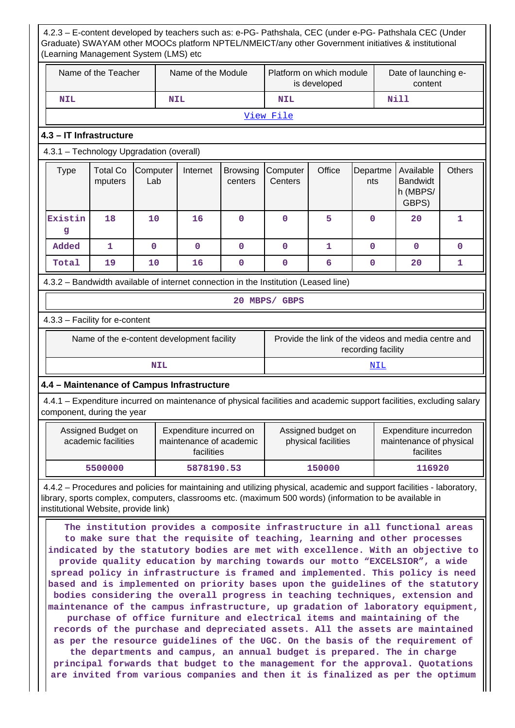4.2.3 – E-content developed by teachers such as: e-PG- Pathshala, CEC (under e-PG- Pathshala CEC (Under Graduate) SWAYAM other MOOCs platform NPTEL/NMEICT/any other Government initiatives & institutional (Learning Management System (LMS) etc

|                                                                                                                                                    | Name of the Teacher                                                                                                                                                                                                                                                                                                                                                                                                                                                                                                                                                                                                                                                                                                                                                                                                                                                      |                 | Name of the Module                                               |                            |                                           | Platform on which module<br>is developed |                    | Date of launching e-<br>content                                |               |  |
|----------------------------------------------------------------------------------------------------------------------------------------------------|--------------------------------------------------------------------------------------------------------------------------------------------------------------------------------------------------------------------------------------------------------------------------------------------------------------------------------------------------------------------------------------------------------------------------------------------------------------------------------------------------------------------------------------------------------------------------------------------------------------------------------------------------------------------------------------------------------------------------------------------------------------------------------------------------------------------------------------------------------------------------|-----------------|------------------------------------------------------------------|----------------------------|-------------------------------------------|------------------------------------------|--------------------|----------------------------------------------------------------|---------------|--|
| <b>NIL</b>                                                                                                                                         |                                                                                                                                                                                                                                                                                                                                                                                                                                                                                                                                                                                                                                                                                                                                                                                                                                                                          |                 | <b>NIL</b>                                                       |                            | <b>NIL</b>                                |                                          | Nill               |                                                                |               |  |
|                                                                                                                                                    |                                                                                                                                                                                                                                                                                                                                                                                                                                                                                                                                                                                                                                                                                                                                                                                                                                                                          |                 |                                                                  |                            | View File                                 |                                          |                    |                                                                |               |  |
| 4.3 - IT Infrastructure                                                                                                                            |                                                                                                                                                                                                                                                                                                                                                                                                                                                                                                                                                                                                                                                                                                                                                                                                                                                                          |                 |                                                                  |                            |                                           |                                          |                    |                                                                |               |  |
| 4.3.1 - Technology Upgradation (overall)                                                                                                           |                                                                                                                                                                                                                                                                                                                                                                                                                                                                                                                                                                                                                                                                                                                                                                                                                                                                          |                 |                                                                  |                            |                                           |                                          |                    |                                                                |               |  |
| <b>Type</b>                                                                                                                                        | <b>Total Co</b><br>mputers                                                                                                                                                                                                                                                                                                                                                                                                                                                                                                                                                                                                                                                                                                                                                                                                                                               | Computer<br>Lab | Internet                                                         | <b>Browsing</b><br>centers | Computer<br>Centers                       | Office                                   | Departme<br>nts    | Available<br><b>Bandwidt</b><br>h (MBPS/<br>GBPS)              | <b>Others</b> |  |
| Existin<br>g                                                                                                                                       | 18                                                                                                                                                                                                                                                                                                                                                                                                                                                                                                                                                                                                                                                                                                                                                                                                                                                                       | 10              | 16                                                               | $\mathbf 0$                | 0                                         | 5                                        | 0                  | 20                                                             | 1             |  |
| Added                                                                                                                                              | 1                                                                                                                                                                                                                                                                                                                                                                                                                                                                                                                                                                                                                                                                                                                                                                                                                                                                        | $\mathbf 0$     | $\mathbf 0$                                                      | $\mathbf 0$                | $\mathbf 0$                               | 1                                        | 0                  | $\mathbf{O}$                                                   | 0             |  |
| Total                                                                                                                                              | 19                                                                                                                                                                                                                                                                                                                                                                                                                                                                                                                                                                                                                                                                                                                                                                                                                                                                       | 10              | 16                                                               | $\mathbf{0}$               | $\mathbf 0$                               | 6                                        | 0                  | 20                                                             | 1             |  |
| 4.3.2 - Bandwidth available of internet connection in the Institution (Leased line)                                                                |                                                                                                                                                                                                                                                                                                                                                                                                                                                                                                                                                                                                                                                                                                                                                                                                                                                                          |                 |                                                                  |                            |                                           |                                          |                    |                                                                |               |  |
|                                                                                                                                                    |                                                                                                                                                                                                                                                                                                                                                                                                                                                                                                                                                                                                                                                                                                                                                                                                                                                                          |                 |                                                                  |                            | 20 MBPS/ GBPS                             |                                          |                    |                                                                |               |  |
| 4.3.3 - Facility for e-content                                                                                                                     |                                                                                                                                                                                                                                                                                                                                                                                                                                                                                                                                                                                                                                                                                                                                                                                                                                                                          |                 |                                                                  |                            |                                           |                                          |                    |                                                                |               |  |
|                                                                                                                                                    | Name of the e-content development facility                                                                                                                                                                                                                                                                                                                                                                                                                                                                                                                                                                                                                                                                                                                                                                                                                               |                 |                                                                  |                            |                                           |                                          | recording facility | Provide the link of the videos and media centre and            |               |  |
|                                                                                                                                                    |                                                                                                                                                                                                                                                                                                                                                                                                                                                                                                                                                                                                                                                                                                                                                                                                                                                                          | <b>NIL</b>      |                                                                  |                            |                                           |                                          | NIL                |                                                                |               |  |
| 4.4 - Maintenance of Campus Infrastructure                                                                                                         |                                                                                                                                                                                                                                                                                                                                                                                                                                                                                                                                                                                                                                                                                                                                                                                                                                                                          |                 |                                                                  |                            |                                           |                                          |                    |                                                                |               |  |
| 4.4.1 – Expenditure incurred on maintenance of physical facilities and academic support facilities, excluding salary<br>component, during the year |                                                                                                                                                                                                                                                                                                                                                                                                                                                                                                                                                                                                                                                                                                                                                                                                                                                                          |                 |                                                                  |                            |                                           |                                          |                    |                                                                |               |  |
|                                                                                                                                                    | Assigned Budget on<br>academic facilities                                                                                                                                                                                                                                                                                                                                                                                                                                                                                                                                                                                                                                                                                                                                                                                                                                |                 | Expenditure incurred on<br>maintenance of academic<br>facilities |                            | Assigned budget on<br>physical facilities |                                          |                    | Expenditure incurredon<br>maintenance of physical<br>facilites |               |  |
|                                                                                                                                                    | 5500000                                                                                                                                                                                                                                                                                                                                                                                                                                                                                                                                                                                                                                                                                                                                                                                                                                                                  |                 | 5878190.53                                                       |                            |                                           | 150000                                   |                    | 116920                                                         |               |  |
|                                                                                                                                                    | 4.4.2 – Procedures and policies for maintaining and utilizing physical, academic and support facilities - laboratory,<br>library, sports complex, computers, classrooms etc. (maximum 500 words) (information to be available in                                                                                                                                                                                                                                                                                                                                                                                                                                                                                                                                                                                                                                         |                 |                                                                  |                            |                                           |                                          |                    |                                                                |               |  |
|                                                                                                                                                    | institutional Website, provide link)<br>The institution provides a composite infrastructure in all functional areas<br>to make sure that the requisite of teaching, learning and other processes<br>indicated by the statutory bodies are met with excellence. With an objective to<br>provide quality education by marching towards our motto "EXCELSIOR", a wide<br>spread policy in infrastructure is framed and implemented. This policy is need<br>based and is implemented on priority bases upon the guidelines of the statutory<br>bodies considering the overall progress in teaching techniques, extension and<br>maintenance of the campus infrastructure, up gradation of laboratory equipment,<br>purchase of office furniture and electrical items and maintaining of the<br>records of the purchase and depreciated assets. All the assets are maintained |                 |                                                                  |                            |                                           |                                          |                    |                                                                |               |  |

**as per the resource guidelines of the UGC. On the basis of the requirement of the departments and campus, an annual budget is prepared. The in charge principal forwards that budget to the management for the approval. Quotations are invited from various companies and then it is finalized as per the optimum**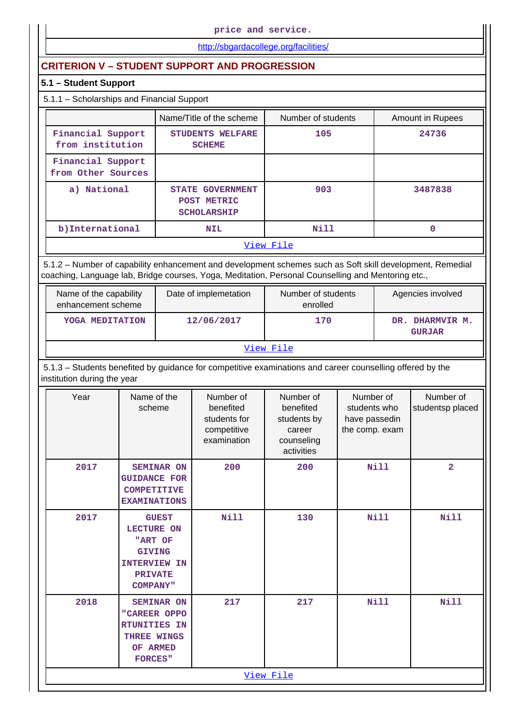**price and service.**

<http://sbgardacollege.org/facilities/>

# **CRITERION V – STUDENT SUPPORT AND PROGRESSION**

# **5.1 – Student Support**

# 5.1.1 – Scholarships and Financial Support

|                                         | Name/Title of the scheme                                     | Number of students | Amount in Rupees |  |  |  |
|-----------------------------------------|--------------------------------------------------------------|--------------------|------------------|--|--|--|
| Financial Support<br>from institution   | STUDENTS WELFARE<br><b>SCHEME</b>                            | 105                | 24736            |  |  |  |
| Financial Support<br>from Other Sources |                                                              |                    |                  |  |  |  |
| a) National                             | <b>STATE GOVERNMENT</b><br>POST METRIC<br><b>SCHOLARSHIP</b> | 903                | 3487838          |  |  |  |
| b) International                        | <b>NIL</b>                                                   | Nill               | 0                |  |  |  |
| View File                               |                                                              |                    |                  |  |  |  |

 5.1.2 – Number of capability enhancement and development schemes such as Soft skill development, Remedial coaching, Language lab, Bridge courses, Yoga, Meditation, Personal Counselling and Mentoring etc.,

| Name of the capability<br>enhancement scheme | Date of implemetation | Number of students<br>enrolled | Agencies involved                |  |  |  |  |
|----------------------------------------------|-----------------------|--------------------------------|----------------------------------|--|--|--|--|
| YOGA MEDITATION                              | 12/06/2017            | 170                            | DR. DHARMVIR M.<br><b>GURJAR</b> |  |  |  |  |
| View File                                    |                       |                                |                                  |  |  |  |  |

 5.1.3 – Students benefited by guidance for competitive examinations and career counselling offered by the institution during the year

| Year | Name of the<br>scheme                                                                                                     | Number of<br>benefited<br>students for<br>competitive<br>examination | Number of<br>benefited<br>students by<br>career<br>counseling<br>activities | Number of<br>students who<br>have passedin<br>the comp. exam | Number of<br>studentsp placed |
|------|---------------------------------------------------------------------------------------------------------------------------|----------------------------------------------------------------------|-----------------------------------------------------------------------------|--------------------------------------------------------------|-------------------------------|
| 2017 | <b>SEMINAR ON</b><br><b>GUIDANCE FOR</b><br><b>COMPETITIVE</b><br><b>EXAMINATIONS</b>                                     | 200                                                                  | 200                                                                         | <b>Nill</b>                                                  | $\overline{2}$                |
| 2017 | <b>GUEST</b><br><b>LECTURE ON</b><br>"ART OF<br><b>GIVING</b><br><b>INTERVIEW IN</b><br><b>PRIVATE</b><br><b>COMPANY"</b> | Nill                                                                 | 130                                                                         | <b>Nill</b>                                                  | <b>Nill</b>                   |
| 2018 | <b>SEMINAR ON</b><br>"CAREER OPPO<br><b>RTUNITIES IN</b><br>THREE WINGS<br>OF ARMED<br><b>FORCES"</b>                     | 217                                                                  | 217                                                                         | <b>Nill</b>                                                  | <b>Nill</b>                   |
|      |                                                                                                                           |                                                                      | View File                                                                   |                                                              |                               |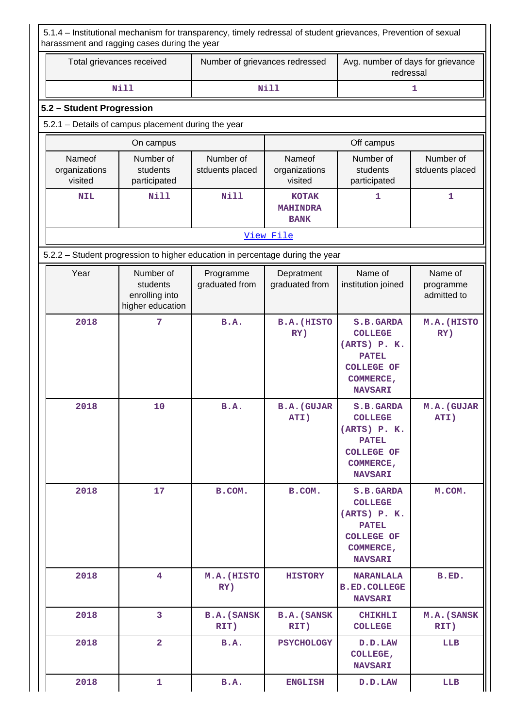|                                    | Total grievances received                                                     | Number of grievances redressed |                                                | Avg. number of days for grievance<br>redressal                                                                         |                                     |  |  |
|------------------------------------|-------------------------------------------------------------------------------|--------------------------------|------------------------------------------------|------------------------------------------------------------------------------------------------------------------------|-------------------------------------|--|--|
|                                    | <b>Nill</b>                                                                   |                                | <b>Nill</b>                                    |                                                                                                                        | 1                                   |  |  |
| 5.2 - Student Progression          |                                                                               |                                |                                                |                                                                                                                        |                                     |  |  |
|                                    | 5.2.1 - Details of campus placement during the year                           |                                |                                                |                                                                                                                        |                                     |  |  |
|                                    | On campus                                                                     |                                |                                                | Off campus                                                                                                             |                                     |  |  |
| Nameof<br>organizations<br>visited | Number of<br>students<br>participated                                         | Number of<br>stduents placed   | Nameof<br>organizations<br>visited             | Number of<br>students<br>participated                                                                                  | Number of<br>stduents placed        |  |  |
| Nill<br><b>NIL</b>                 |                                                                               | Nill                           | <b>KOTAK</b><br><b>MAHINDRA</b><br><b>BANK</b> | 1                                                                                                                      | 1                                   |  |  |
|                                    |                                                                               |                                | View File                                      |                                                                                                                        |                                     |  |  |
|                                    | 5.2.2 - Student progression to higher education in percentage during the year |                                |                                                |                                                                                                                        |                                     |  |  |
| Year                               | Number of<br>students<br>enrolling into<br>higher education                   | Programme<br>graduated from    | Depratment<br>graduated from                   | Name of<br>institution joined                                                                                          | Name of<br>programme<br>admitted to |  |  |
| 2018                               | 7                                                                             | B.A.                           | <b>B.A. (HISTO</b><br>RY)                      | S.B.GARDA<br><b>COLLEGE</b><br>(ARTS) P. K.<br><b>PATEL</b><br><b>COLLEGE OF</b><br><b>COMMERCE,</b><br><b>NAVSARI</b> | M.A. (HISTO<br>RY)                  |  |  |
| 2018                               | 10                                                                            | <b>B.A.</b>                    | <b>B.A.</b> (GUJAR<br>ATI)                     | S.B.GARDA<br><b>COLLEGE</b><br>(ARTS) P. K.<br><b>PATEL</b><br><b>COLLEGE OF</b><br>COMMERCE,<br><b>NAVSARI</b>        | M.A. (GUJAR<br>ATI)                 |  |  |
| 2018                               | 17                                                                            |                                | B.COM.                                         | S.B.GARDA<br><b>COLLEGE</b><br>(ARTS) P. K.<br><b>PATEL</b><br><b>COLLEGE OF</b><br>COMMERCE,<br><b>NAVSARI</b>        | M.COM.                              |  |  |
| 2018<br>4                          |                                                                               | M.A. (HISTO<br>RY)             | <b>HISTORY</b>                                 | <b>NARANLALA</b><br><b>B.ED. COLLEGE</b><br><b>NAVSARI</b>                                                             | B.ED.                               |  |  |
| 2018                               | $\overline{3}$                                                                | <b>B.A.</b> (SANSK<br>RIT)     | <b>B.A.</b> (SANSK<br>RIT)                     | <b>CHIKHLI</b><br><b>COLLEGE</b>                                                                                       | M.A. (SANSK<br>RIT)                 |  |  |
| 2018                               | $\overline{2}$                                                                | B.A.                           | <b>PSYCHOLOGY</b>                              | D.D.LAW<br>COLLEGE,<br><b>NAVSARI</b>                                                                                  | LLB                                 |  |  |
|                                    |                                                                               |                                |                                                |                                                                                                                        |                                     |  |  |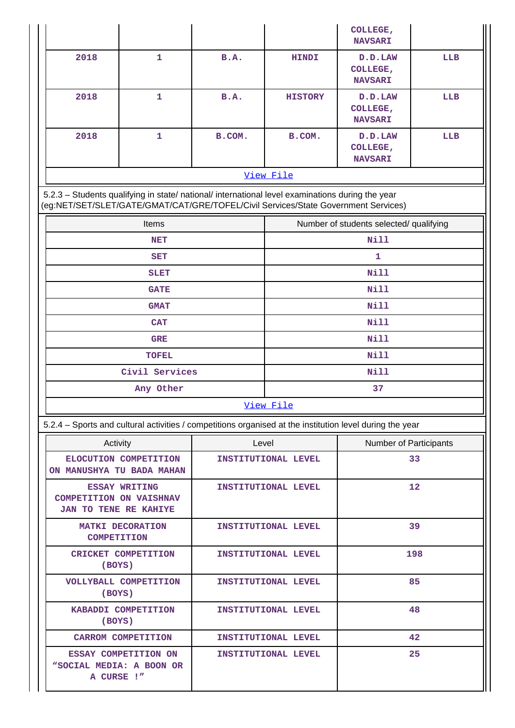|                    |                                                                                                                                                                                        |             |                                                                                                                       | COLLEGE,<br><b>NAVSARI</b>              |     |  |  |  |  |
|--------------------|----------------------------------------------------------------------------------------------------------------------------------------------------------------------------------------|-------------|-----------------------------------------------------------------------------------------------------------------------|-----------------------------------------|-----|--|--|--|--|
| 2018               | $\mathbf{1}$                                                                                                                                                                           | B.A.        | <b>HINDI</b>                                                                                                          | D.D.LAW<br>COLLEGE,<br><b>NAVSARI</b>   | LLB |  |  |  |  |
| 2018               | $\mathbf{1}$                                                                                                                                                                           | <b>B.A.</b> | <b>HISTORY</b>                                                                                                        | D.D.LAW<br>COLLEGE,<br><b>NAVSARI</b>   | LLB |  |  |  |  |
| 2018               | 1                                                                                                                                                                                      | B.COM.      | B.COM.                                                                                                                | D.D.LAW<br>COLLEGE,<br><b>NAVSARI</b>   | LLB |  |  |  |  |
|                    |                                                                                                                                                                                        |             | View File                                                                                                             |                                         |     |  |  |  |  |
|                    | 5.2.3 - Students qualifying in state/ national/ international level examinations during the year<br>(eg:NET/SET/SLET/GATE/GMAT/CAT/GRE/TOFEL/Civil Services/State Government Services) |             |                                                                                                                       |                                         |     |  |  |  |  |
|                    | Items                                                                                                                                                                                  |             |                                                                                                                       | Number of students selected/ qualifying |     |  |  |  |  |
|                    | <b>NET</b>                                                                                                                                                                             |             |                                                                                                                       | <b>Nill</b>                             |     |  |  |  |  |
|                    | <b>SET</b>                                                                                                                                                                             |             |                                                                                                                       | 1.                                      |     |  |  |  |  |
|                    | <b>SLET</b>                                                                                                                                                                            |             |                                                                                                                       | <b>Nill</b>                             |     |  |  |  |  |
|                    | <b>GATE</b>                                                                                                                                                                            |             |                                                                                                                       | <b>Nill</b>                             |     |  |  |  |  |
|                    | <b>GMAT</b>                                                                                                                                                                            |             | <b>Nill</b>                                                                                                           |                                         |     |  |  |  |  |
|                    | <b>CAT</b>                                                                                                                                                                             |             | <b>Nill</b>                                                                                                           |                                         |     |  |  |  |  |
|                    | <b>GRE</b>                                                                                                                                                                             |             |                                                                                                                       | <b>Nill</b>                             |     |  |  |  |  |
|                    | <b>TOFEL</b>                                                                                                                                                                           |             |                                                                                                                       | <b>Nill</b>                             |     |  |  |  |  |
|                    | Civil Services                                                                                                                                                                         |             | <b>Nill</b>                                                                                                           |                                         |     |  |  |  |  |
|                    | Any Other                                                                                                                                                                              |             |                                                                                                                       | 37                                      |     |  |  |  |  |
|                    |                                                                                                                                                                                        |             | View File<br>5.2.4 - Sports and cultural activities / competitions organised at the institution level during the year |                                         |     |  |  |  |  |
|                    |                                                                                                                                                                                        |             |                                                                                                                       |                                         |     |  |  |  |  |
| Activity           |                                                                                                                                                                                        | Level       | INSTITUTIONAL LEVEL                                                                                                   | Number of Participants<br>33            |     |  |  |  |  |
|                    | ELOCUTION COMPETITION<br>ON MANUSHYA TU BADA MAHAN                                                                                                                                     |             |                                                                                                                       |                                         |     |  |  |  |  |
|                    | <b>ESSAY WRITING</b><br><b>COMPETITION ON VAISHNAV</b><br><b>JAN TO TENE RE KAHIYE</b>                                                                                                 |             | INSTITUTIONAL LEVEL                                                                                                   |                                         | 12  |  |  |  |  |
| <b>COMPETITION</b> | <b>MATKI DECORATION</b>                                                                                                                                                                |             | INSTITUTIONAL LEVEL                                                                                                   |                                         | 39  |  |  |  |  |
| (BOYS)             | CRICKET COMPETITION                                                                                                                                                                    |             | INSTITUTIONAL LEVEL                                                                                                   |                                         | 198 |  |  |  |  |
| (BOYS)             | VOLLYBALL COMPETITION                                                                                                                                                                  |             | INSTITUTIONAL LEVEL                                                                                                   |                                         | 85  |  |  |  |  |
| (BOYS)             | KABADDI COMPETITION                                                                                                                                                                    |             | INSTITUTIONAL LEVEL                                                                                                   |                                         | 48  |  |  |  |  |
|                    | <b>CARROM COMPETITION</b>                                                                                                                                                              |             | INSTITUTIONAL LEVEL                                                                                                   |                                         | 42  |  |  |  |  |
| A CURSE !"         | ESSAY COMPETITION ON<br>"SOCIAL MEDIA: A BOON OR                                                                                                                                       |             | INSTITUTIONAL LEVEL                                                                                                   |                                         | 25  |  |  |  |  |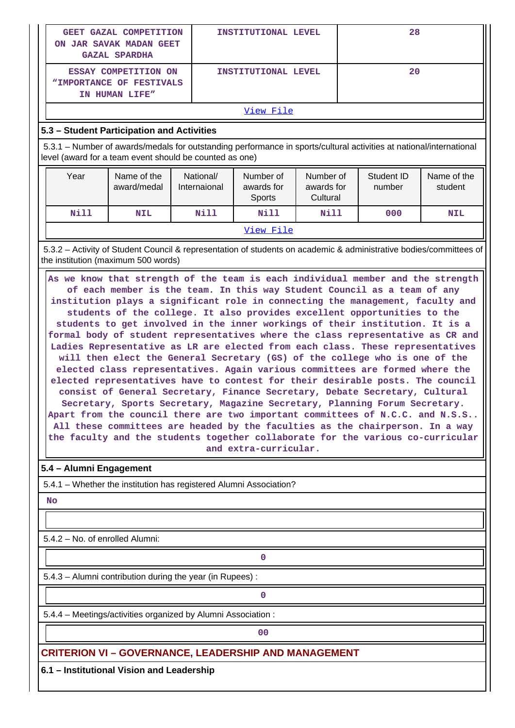|                                                                                                                                                                                                                                                                                                                                                                                                                                                                                                                                                                                                                                                                                                                                                                                                                                                                                                                                                                                                                                                                                                                                                                                                                                                                            | <b>GEET GAZAL COMPETITION</b><br>ON JAR SAVAK MADAN GEET<br><b>GAZAL SPARDHA</b>                                                                          |                           | INSTITUTIONAL LEVEL               |                                     |  |                      |                        |  |  |
|----------------------------------------------------------------------------------------------------------------------------------------------------------------------------------------------------------------------------------------------------------------------------------------------------------------------------------------------------------------------------------------------------------------------------------------------------------------------------------------------------------------------------------------------------------------------------------------------------------------------------------------------------------------------------------------------------------------------------------------------------------------------------------------------------------------------------------------------------------------------------------------------------------------------------------------------------------------------------------------------------------------------------------------------------------------------------------------------------------------------------------------------------------------------------------------------------------------------------------------------------------------------------|-----------------------------------------------------------------------------------------------------------------------------------------------------------|---------------------------|-----------------------------------|-------------------------------------|--|----------------------|------------------------|--|--|
| 20<br>ESSAY COMPETITION ON<br>INSTITUTIONAL LEVEL<br>"IMPORTANCE OF FESTIVALS<br>IN HUMAN LIFE"                                                                                                                                                                                                                                                                                                                                                                                                                                                                                                                                                                                                                                                                                                                                                                                                                                                                                                                                                                                                                                                                                                                                                                            |                                                                                                                                                           |                           |                                   |                                     |  |                      |                        |  |  |
|                                                                                                                                                                                                                                                                                                                                                                                                                                                                                                                                                                                                                                                                                                                                                                                                                                                                                                                                                                                                                                                                                                                                                                                                                                                                            |                                                                                                                                                           |                           | View File                         |                                     |  |                      |                        |  |  |
|                                                                                                                                                                                                                                                                                                                                                                                                                                                                                                                                                                                                                                                                                                                                                                                                                                                                                                                                                                                                                                                                                                                                                                                                                                                                            | 5.3 - Student Participation and Activities                                                                                                                |                           |                                   |                                     |  |                      |                        |  |  |
| 5.3.1 - Number of awards/medals for outstanding performance in sports/cultural activities at national/international<br>level (award for a team event should be counted as one)                                                                                                                                                                                                                                                                                                                                                                                                                                                                                                                                                                                                                                                                                                                                                                                                                                                                                                                                                                                                                                                                                             |                                                                                                                                                           |                           |                                   |                                     |  |                      |                        |  |  |
| Year                                                                                                                                                                                                                                                                                                                                                                                                                                                                                                                                                                                                                                                                                                                                                                                                                                                                                                                                                                                                                                                                                                                                                                                                                                                                       | Name of the<br>award/medal                                                                                                                                | National/<br>Internaional | Number of<br>awards for<br>Sports | Number of<br>awards for<br>Cultural |  | Student ID<br>number | Name of the<br>student |  |  |
| <b>Nill</b>                                                                                                                                                                                                                                                                                                                                                                                                                                                                                                                                                                                                                                                                                                                                                                                                                                                                                                                                                                                                                                                                                                                                                                                                                                                                | <b>NIL</b>                                                                                                                                                | <b>Nill</b>               | Nill                              | <b>Nill</b>                         |  | 000                  | <b>NIL</b>             |  |  |
|                                                                                                                                                                                                                                                                                                                                                                                                                                                                                                                                                                                                                                                                                                                                                                                                                                                                                                                                                                                                                                                                                                                                                                                                                                                                            |                                                                                                                                                           |                           | View File                         |                                     |  |                      |                        |  |  |
|                                                                                                                                                                                                                                                                                                                                                                                                                                                                                                                                                                                                                                                                                                                                                                                                                                                                                                                                                                                                                                                                                                                                                                                                                                                                            | 5.3.2 - Activity of Student Council & representation of students on academic & administrative bodies/committees of<br>the institution (maximum 500 words) |                           |                                   |                                     |  |                      |                        |  |  |
| As we know that strength of the team is each individual member and the strength<br>of each member is the team. In this way Student Council as a team of any<br>institution plays a significant role in connecting the management, faculty and<br>students of the college. It also provides excellent opportunities to the<br>students to get involved in the inner workings of their institution. It is a<br>formal body of student representatives where the class representative as CR and<br>Ladies Representative as LR are elected from each class. These representatives<br>will then elect the General Secretary (GS) of the college who is one of the<br>elected class representatives. Again various committees are formed where the<br>elected representatives have to contest for their desirable posts. The council<br>consist of General Secretary, Finance Secretary, Debate Secretary, Cultural<br>Secretary, Sports Secretary, Magazine Secretary, Planning Forum Secretary.<br>Apart from the council there are two important committees of N.C.C. and N.S.S<br>All these committees are headed by the faculties as the chairperson. In a way<br>the faculty and the students together collaborate for the various co-curricular<br>and extra-curricular. |                                                                                                                                                           |                           |                                   |                                     |  |                      |                        |  |  |
| 5.4 - Alumni Engagement                                                                                                                                                                                                                                                                                                                                                                                                                                                                                                                                                                                                                                                                                                                                                                                                                                                                                                                                                                                                                                                                                                                                                                                                                                                    | 5.4.1 - Whether the institution has registered Alumni Association?                                                                                        |                           |                                   |                                     |  |                      |                        |  |  |
| <b>No</b>                                                                                                                                                                                                                                                                                                                                                                                                                                                                                                                                                                                                                                                                                                                                                                                                                                                                                                                                                                                                                                                                                                                                                                                                                                                                  |                                                                                                                                                           |                           |                                   |                                     |  |                      |                        |  |  |
|                                                                                                                                                                                                                                                                                                                                                                                                                                                                                                                                                                                                                                                                                                                                                                                                                                                                                                                                                                                                                                                                                                                                                                                                                                                                            |                                                                                                                                                           |                           |                                   |                                     |  |                      |                        |  |  |
| 5.4.2 - No. of enrolled Alumni:                                                                                                                                                                                                                                                                                                                                                                                                                                                                                                                                                                                                                                                                                                                                                                                                                                                                                                                                                                                                                                                                                                                                                                                                                                            |                                                                                                                                                           |                           |                                   |                                     |  |                      |                        |  |  |
| $\mathbf 0$                                                                                                                                                                                                                                                                                                                                                                                                                                                                                                                                                                                                                                                                                                                                                                                                                                                                                                                                                                                                                                                                                                                                                                                                                                                                |                                                                                                                                                           |                           |                                   |                                     |  |                      |                        |  |  |
| 5.4.3 - Alumni contribution during the year (in Rupees) :                                                                                                                                                                                                                                                                                                                                                                                                                                                                                                                                                                                                                                                                                                                                                                                                                                                                                                                                                                                                                                                                                                                                                                                                                  |                                                                                                                                                           |                           |                                   |                                     |  |                      |                        |  |  |
|                                                                                                                                                                                                                                                                                                                                                                                                                                                                                                                                                                                                                                                                                                                                                                                                                                                                                                                                                                                                                                                                                                                                                                                                                                                                            |                                                                                                                                                           |                           | $\mathbf 0$                       |                                     |  |                      |                        |  |  |
|                                                                                                                                                                                                                                                                                                                                                                                                                                                                                                                                                                                                                                                                                                                                                                                                                                                                                                                                                                                                                                                                                                                                                                                                                                                                            | 5.4.4 - Meetings/activities organized by Alumni Association:                                                                                              |                           |                                   |                                     |  |                      |                        |  |  |
|                                                                                                                                                                                                                                                                                                                                                                                                                                                                                                                                                                                                                                                                                                                                                                                                                                                                                                                                                                                                                                                                                                                                                                                                                                                                            |                                                                                                                                                           |                           | 00                                |                                     |  |                      |                        |  |  |
|                                                                                                                                                                                                                                                                                                                                                                                                                                                                                                                                                                                                                                                                                                                                                                                                                                                                                                                                                                                                                                                                                                                                                                                                                                                                            | <b>CRITERION VI - GOVERNANCE, LEADERSHIP AND MANAGEMENT</b>                                                                                               |                           |                                   |                                     |  |                      |                        |  |  |
| 6.1 - Institutional Vision and Leadership                                                                                                                                                                                                                                                                                                                                                                                                                                                                                                                                                                                                                                                                                                                                                                                                                                                                                                                                                                                                                                                                                                                                                                                                                                  |                                                                                                                                                           |                           |                                   |                                     |  |                      |                        |  |  |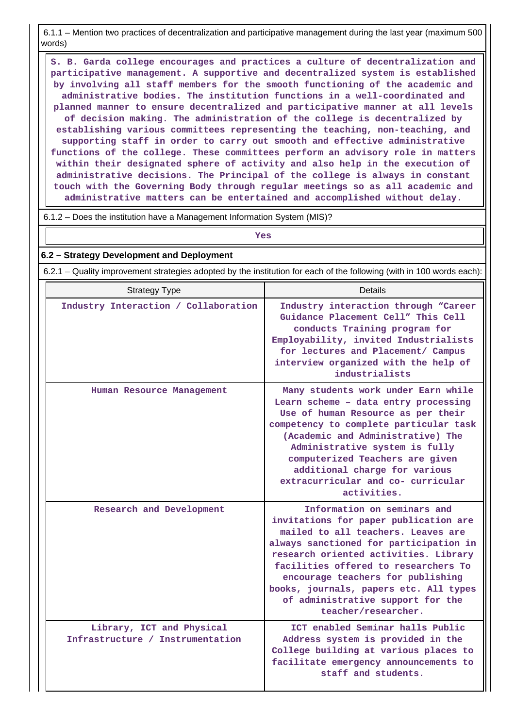6.1.1 – Mention two practices of decentralization and participative management during the last year (maximum 500 words)

 **S. B. Garda college encourages and practices a culture of decentralization and participative management. A supportive and decentralized system is established by involving all staff members for the smooth functioning of the academic and administrative bodies. The institution functions in a well-coordinated and planned manner to ensure decentralized and participative manner at all levels of decision making. The administration of the college is decentralized by establishing various committees representing the teaching, non-teaching, and supporting staff in order to carry out smooth and effective administrative functions of the college. These committees perform an advisory role in matters within their designated sphere of activity and also help in the execution of administrative decisions. The Principal of the college is always in constant touch with the Governing Body through regular meetings so as all academic and administrative matters can be entertained and accomplished without delay.**

6.1.2 – Does the institution have a Management Information System (MIS)?

| Yes                                                                                                                   |         |  |  |  |  |  |  |  |
|-----------------------------------------------------------------------------------------------------------------------|---------|--|--|--|--|--|--|--|
| 6.2 – Strategy Development and Deployment                                                                             |         |  |  |  |  |  |  |  |
| 6.2.1 – Quality improvement strategies adopted by the institution for each of the following (with in 100 words each): |         |  |  |  |  |  |  |  |
| <b>Strategy Type</b>                                                                                                  | Details |  |  |  |  |  |  |  |

| Industry Interaction / Collaboration                          | Industry interaction through "Career<br>Guidance Placement Cell" This Cell<br>conducts Training program for<br>Employability, invited Industrialists<br>for lectures and Placement/ Campus<br>interview organized with the help of<br>industrialists                                                                                                                             |
|---------------------------------------------------------------|----------------------------------------------------------------------------------------------------------------------------------------------------------------------------------------------------------------------------------------------------------------------------------------------------------------------------------------------------------------------------------|
| Human Resource Management                                     | Many students work under Earn while<br>Learn scheme - data entry processing<br>Use of human Resource as per their<br>competency to complete particular task<br>(Academic and Administrative) The<br>Administrative system is fully<br>computerized Teachers are given<br>additional charge for various<br>extracurricular and co- curricular<br>activities.                      |
| Research and Development                                      | Information on seminars and<br>invitations for paper publication are<br>mailed to all teachers. Leaves are<br>always sanctioned for participation in<br>research oriented activities. Library<br>facilities offered to researchers To<br>encourage teachers for publishing<br>books, journals, papers etc. All types<br>of administrative support for the<br>teacher/researcher. |
| Library, ICT and Physical<br>Infrastructure / Instrumentation | ICT enabled Seminar halls Public<br>Address system is provided in the<br>College building at various places to<br>facilitate emergency announcements to<br>staff and students.                                                                                                                                                                                                   |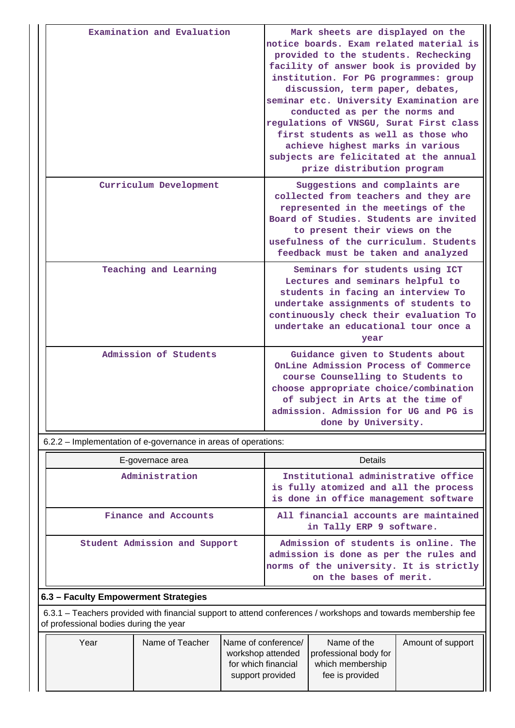| Examination and Evaluation | Mark sheets are displayed on the<br>notice boards. Exam related material is<br>provided to the students. Rechecking<br>facility of answer book is provided by<br>institution. For PG programmes: group<br>discussion, term paper, debates,<br>seminar etc. University Examination are<br>conducted as per the norms and<br>regulations of VNSGU, Surat First class<br>first students as well as those who<br>achieve highest marks in various<br>subjects are felicitated at the annual<br>prize distribution program |
|----------------------------|-----------------------------------------------------------------------------------------------------------------------------------------------------------------------------------------------------------------------------------------------------------------------------------------------------------------------------------------------------------------------------------------------------------------------------------------------------------------------------------------------------------------------|
| Curriculum Development     | Suggestions and complaints are<br>collected from teachers and they are<br>represented in the meetings of the<br>Board of Studies. Students are invited<br>to present their views on the<br>usefulness of the curriculum. Students<br>feedback must be taken and analyzed                                                                                                                                                                                                                                              |
| Teaching and Learning      | Seminars for students using ICT<br>Lectures and seminars helpful to<br>students in facing an interview To<br>undertake assignments of students to<br>continuously check their evaluation To<br>undertake an educational tour once a<br>year                                                                                                                                                                                                                                                                           |
| Admission of Students      | Guidance given to Students about<br>OnLine Admission Process of Commerce<br>course Counselling to Students to<br>choose appropriate choice/combination<br>of subject in Arts at the time of<br>admission. Admission for UG and PG is<br>done by University.                                                                                                                                                                                                                                                           |

6.2.2 – Implementation of e-governance in areas of operations:

| E-governace area              | Details                                                                                                                                             |  |  |  |  |
|-------------------------------|-----------------------------------------------------------------------------------------------------------------------------------------------------|--|--|--|--|
| Administration                | Institutional administrative office<br>is fully atomized and all the process<br>is done in office management software                               |  |  |  |  |
| Finance and Accounts          | All financial accounts are maintained<br>in Tally ERP 9 software.                                                                                   |  |  |  |  |
| Student Admission and Support | Admission of students is online. The<br>admission is done as per the rules and<br>norms of the university. It is strictly<br>on the bases of merit. |  |  |  |  |

# **6.3 – Faculty Empowerment Strategies**

 6.3.1 – Teachers provided with financial support to attend conferences / workshops and towards membership fee of professional bodies during the year

| Year | Name of Teacher | Name of conference/<br>workshop attended | Name of the<br>professional body for | Amount of support |
|------|-----------------|------------------------------------------|--------------------------------------|-------------------|
|      |                 | for which financial<br>support provided  | which membership<br>fee is provided  |                   |
|      |                 |                                          |                                      |                   |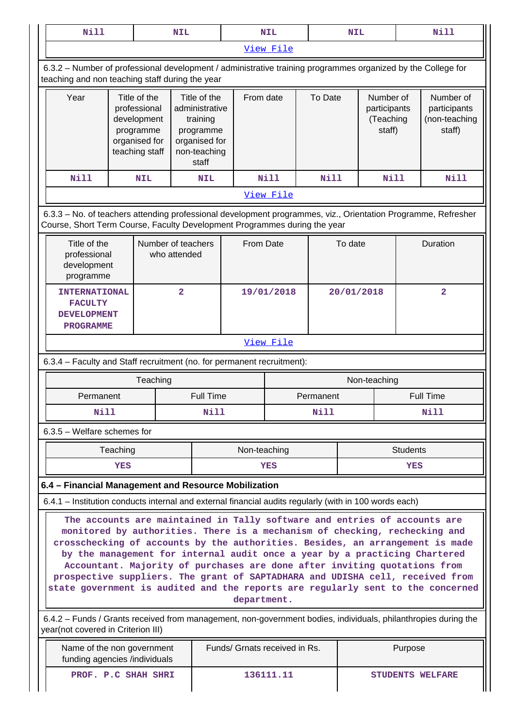| <b>Nill</b>                                                                                                                                                                                                                                                                                                                                                                                                                                                                                                                                                                                                                                                                                              | <b>NIL</b>                                                                                     |           |                                                                                                   | <b>NIL</b>                    |                      | <b>NIL</b>  |                                                  | Nill         |                 |                                                      |  |
|----------------------------------------------------------------------------------------------------------------------------------------------------------------------------------------------------------------------------------------------------------------------------------------------------------------------------------------------------------------------------------------------------------------------------------------------------------------------------------------------------------------------------------------------------------------------------------------------------------------------------------------------------------------------------------------------------------|------------------------------------------------------------------------------------------------|-----------|---------------------------------------------------------------------------------------------------|-------------------------------|----------------------|-------------|--------------------------------------------------|--------------|-----------------|------------------------------------------------------|--|
|                                                                                                                                                                                                                                                                                                                                                                                                                                                                                                                                                                                                                                                                                                          |                                                                                                | View File |                                                                                                   |                               |                      |             |                                                  |              |                 |                                                      |  |
| 6.3.2 – Number of professional development / administrative training programmes organized by the College for<br>teaching and non teaching staff during the year                                                                                                                                                                                                                                                                                                                                                                                                                                                                                                                                          |                                                                                                |           |                                                                                                   |                               |                      |             |                                                  |              |                 |                                                      |  |
| Year                                                                                                                                                                                                                                                                                                                                                                                                                                                                                                                                                                                                                                                                                                     | Title of the<br>professional<br>development<br>programme<br>organised for<br>teaching staff    |           | Title of the<br>administrative<br>training<br>programme<br>organised for<br>non-teaching<br>staff |                               | From date<br>To Date |             | Number of<br>participants<br>(Teaching<br>staff) |              |                 | Number of<br>participants<br>(non-teaching<br>staff) |  |
| <b>Nill</b>                                                                                                                                                                                                                                                                                                                                                                                                                                                                                                                                                                                                                                                                                              | <b>NIL</b>                                                                                     |           | <b>NIL</b>                                                                                        |                               | <b>Nill</b>          | <b>Nill</b> |                                                  | <b>Nill</b>  |                 | Nill                                                 |  |
|                                                                                                                                                                                                                                                                                                                                                                                                                                                                                                                                                                                                                                                                                                          |                                                                                                |           |                                                                                                   |                               | View File            |             |                                                  |              |                 |                                                      |  |
| 6.3.3 - No. of teachers attending professional development programmes, viz., Orientation Programme, Refresher<br>Course, Short Term Course, Faculty Development Programmes during the year                                                                                                                                                                                                                                                                                                                                                                                                                                                                                                               |                                                                                                |           |                                                                                                   |                               |                      |             |                                                  |              |                 |                                                      |  |
|                                                                                                                                                                                                                                                                                                                                                                                                                                                                                                                                                                                                                                                                                                          | Title of the<br>Number of teachers<br>professional<br>who attended<br>development<br>programme |           |                                                                                                   |                               | From Date            |             | To date                                          |              |                 | Duration                                             |  |
| <b>FACULTY</b>                                                                                                                                                                                                                                                                                                                                                                                                                                                                                                                                                                                                                                                                                           | <b>INTERNATIONAL</b><br><b>DEVELOPMENT</b><br><b>PROGRAMME</b>                                 |           |                                                                                                   | 19/01/2018                    |                      |             | 20/01/2018                                       |              | $\overline{2}$  |                                                      |  |
|                                                                                                                                                                                                                                                                                                                                                                                                                                                                                                                                                                                                                                                                                                          |                                                                                                |           |                                                                                                   |                               | View File            |             |                                                  |              |                 |                                                      |  |
| 6.3.4 - Faculty and Staff recruitment (no. for permanent recruitment):                                                                                                                                                                                                                                                                                                                                                                                                                                                                                                                                                                                                                                   |                                                                                                |           |                                                                                                   |                               |                      |             |                                                  |              |                 |                                                      |  |
|                                                                                                                                                                                                                                                                                                                                                                                                                                                                                                                                                                                                                                                                                                          |                                                                                                | Teaching  |                                                                                                   |                               |                      |             |                                                  | Non-teaching |                 |                                                      |  |
| Permanent                                                                                                                                                                                                                                                                                                                                                                                                                                                                                                                                                                                                                                                                                                |                                                                                                |           | <b>Full Time</b>                                                                                  | Permanent                     |                      |             |                                                  |              |                 | <b>Full Time</b>                                     |  |
| Nill                                                                                                                                                                                                                                                                                                                                                                                                                                                                                                                                                                                                                                                                                                     |                                                                                                |           | Nill                                                                                              | Nill                          |                      |             | Nill                                             |              |                 |                                                      |  |
| $6.3.5$ – Welfare schemes for                                                                                                                                                                                                                                                                                                                                                                                                                                                                                                                                                                                                                                                                            |                                                                                                |           |                                                                                                   |                               |                      |             |                                                  |              |                 |                                                      |  |
|                                                                                                                                                                                                                                                                                                                                                                                                                                                                                                                                                                                                                                                                                                          | Teaching                                                                                       |           |                                                                                                   | Non-teaching                  |                      |             |                                                  |              | <b>Students</b> |                                                      |  |
|                                                                                                                                                                                                                                                                                                                                                                                                                                                                                                                                                                                                                                                                                                          | YES                                                                                            |           |                                                                                                   |                               | YES                  |             |                                                  |              | YES             |                                                      |  |
| 6.4 - Financial Management and Resource Mobilization                                                                                                                                                                                                                                                                                                                                                                                                                                                                                                                                                                                                                                                     |                                                                                                |           |                                                                                                   |                               |                      |             |                                                  |              |                 |                                                      |  |
| 6.4.1 – Institution conducts internal and external financial audits regularly (with in 100 words each)                                                                                                                                                                                                                                                                                                                                                                                                                                                                                                                                                                                                   |                                                                                                |           |                                                                                                   |                               |                      |             |                                                  |              |                 |                                                      |  |
| The accounts are maintained in Tally software and entries of accounts are<br>monitored by authorities. There is a mechanism of checking, rechecking and<br>crosschecking of accounts by the authorities. Besides, an arrangement is made<br>by the management for internal audit once a year by a practicing Chartered<br>Accountant. Majority of purchases are done after inviting quotations from<br>prospective suppliers. The grant of SAPTADHARA and UDISHA cell, received from<br>state government is audited and the reports are regularly sent to the concerned<br>department.<br>6.4.2 – Funds / Grants received from management, non-government bodies, individuals, philanthropies during the |                                                                                                |           |                                                                                                   |                               |                      |             |                                                  |              |                 |                                                      |  |
| year(not covered in Criterion III)<br>Name of the non government                                                                                                                                                                                                                                                                                                                                                                                                                                                                                                                                                                                                                                         |                                                                                                |           |                                                                                                   | Funds/ Grnats received in Rs. |                      |             |                                                  |              | Purpose         |                                                      |  |
| funding agencies /individuals                                                                                                                                                                                                                                                                                                                                                                                                                                                                                                                                                                                                                                                                            | PROF. P.C SHAH SHRI                                                                            |           |                                                                                                   |                               | 136111.11            |             |                                                  |              |                 | <b>STUDENTS WELFARE</b>                              |  |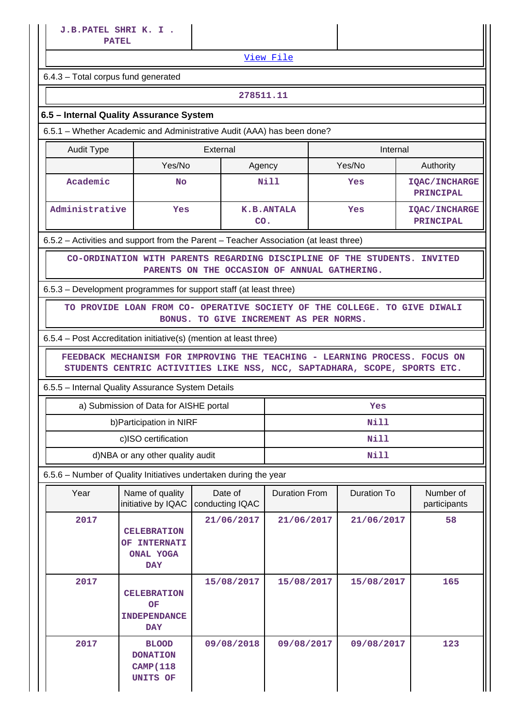[View File](https://assessmentonline.naac.gov.in/public/Postacc/Funds_or_Grants/10290_Funds_or_Grants_1618884851.xlsx)

6.4.3 – Total corpus fund generated

#### **278511.11**

## **6.5 – Internal Quality Assurance System**

6.5.1 – Whether Academic and Administrative Audit (AAA) has been done?

| Audit Type     | External  |                   | Internal |                                          |  |  |
|----------------|-----------|-------------------|----------|------------------------------------------|--|--|
|                | Yes/No    | Agency            | Yes/No   | Authority                                |  |  |
| Academic       | <b>No</b> |                   | Yes      | <b>IQAC/INCHARGE</b><br><b>PRINCIPAL</b> |  |  |
| Administrative | Yes       | K.B.ANTALA<br>CO. | Yes      | <b>IOAC/INCHARGE</b><br>PRINCIPAL        |  |  |

6.5.2 – Activities and support from the Parent – Teacher Association (at least three)

 **CO-ORDINATION WITH PARENTS REGARDING DISCIPLINE OF THE STUDENTS. INVITED PARENTS ON THE OCCASION OF ANNUAL GATHERING.**

6.5.3 – Development programmes for support staff (at least three)

 **TO PROVIDE LOAN FROM CO- OPERATIVE SOCIETY OF THE COLLEGE. TO GIVE DIWALI BONUS. TO GIVE INCREMENT AS PER NORMS.**

6.5.4 – Post Accreditation initiative(s) (mention at least three)

 **FEEDBACK MECHANISM FOR IMPROVING THE TEACHING - LEARNING PROCESS. FOCUS ON STUDENTS CENTRIC ACTIVITIES LIKE NSS, NCC, SAPTADHARA, SCOPE, SPORTS ETC.**

6.5.5 – Internal Quality Assurance System Details

| a) Submission of Data for AISHE portal | Yes  |  |  |  |  |
|----------------------------------------|------|--|--|--|--|
| b) Participation in NIRF               | Nill |  |  |  |  |
| c)ISO certification                    | Nill |  |  |  |  |
| d)NBA or any other quality audit       | Nill |  |  |  |  |

6.5.6 – Number of Quality Initiatives undertaken during the year

| Year | Name of quality<br>initiative by IQAC                                          | Date of<br><b>Duration From</b><br>conducting IQAC |            | Duration To | Number of<br>participants |
|------|--------------------------------------------------------------------------------|----------------------------------------------------|------------|-------------|---------------------------|
| 2017 | <b>CELEBRATION</b><br><b>INTERNATI</b><br>OF<br><b>ONAL YOGA</b><br><b>DAY</b> | 21/06/2017                                         | 21/06/2017 | 21/06/2017  | 58                        |
| 2017 | <b>CELEBRATION</b><br><b>OF</b><br><b>INDEPENDANCE</b><br><b>DAY</b>           | 15/08/2017                                         | 15/08/2017 | 15/08/2017  | 165                       |
| 2017 | <b>BLOOD</b><br><b>DONATION</b><br><b>CAMP</b> (118<br>UNITS OF                |                                                    | 09/08/2017 | 09/08/2017  | 123                       |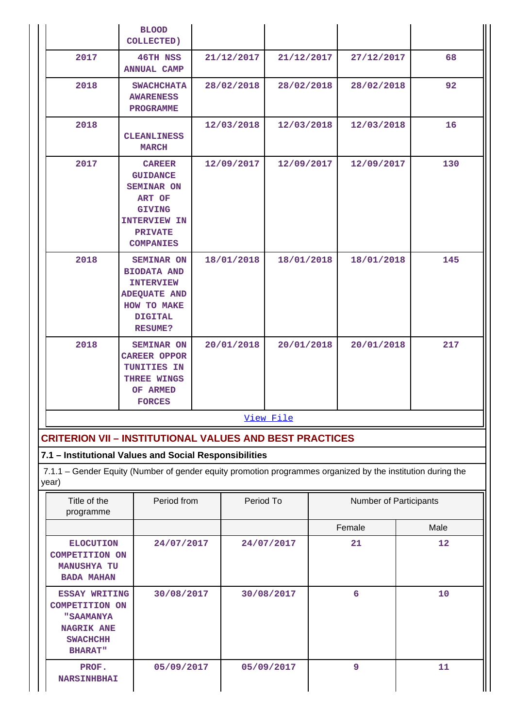|                                                                                      | <b>BLOOD</b><br><b>COLLECTED)</b>                                                                                                             |            |            |            |  |                        |      |
|--------------------------------------------------------------------------------------|-----------------------------------------------------------------------------------------------------------------------------------------------|------------|------------|------------|--|------------------------|------|
| 2017                                                                                 | <b>46TH NSS</b><br><b>ANNUAL CAMP</b>                                                                                                         |            | 21/12/2017 | 21/12/2017 |  | 27/12/2017             | 68   |
| 2018                                                                                 | <b>SWACHCHATA</b><br><b>AWARENESS</b><br><b>PROGRAMME</b>                                                                                     |            | 28/02/2018 | 28/02/2018 |  | 28/02/2018             | 92   |
| 2018                                                                                 | <b>CLEANLINESS</b><br><b>MARCH</b>                                                                                                            |            | 12/03/2018 | 12/03/2018 |  | 12/03/2018             | 16   |
| 2017                                                                                 | <b>CAREER</b><br><b>GUIDANCE</b><br><b>SEMINAR ON</b><br>ART OF<br><b>GIVING</b><br><b>INTERVIEW IN</b><br><b>PRIVATE</b><br><b>COMPANIES</b> |            | 12/09/2017 | 12/09/2017 |  | 12/09/2017             | 130  |
| 2018                                                                                 | <b>SEMINAR ON</b><br><b>BIODATA AND</b><br><b>INTERVIEW</b><br><b>ADEQUATE AND</b><br>HOW TO MAKE<br><b>DIGITAL</b><br><b>RESUME?</b>         | 18/01/2018 |            | 18/01/2018 |  | 18/01/2018             | 145  |
| 2018                                                                                 | <b>SEMINAR ON</b><br><b>CAREER OPPOR</b><br>TUNITIES IN<br>THREE WINGS<br>OF ARMED<br><b>FORCES</b>                                           |            | 20/01/2018 | 20/01/2018 |  | 20/01/2018             | 217  |
|                                                                                      |                                                                                                                                               |            |            | View File  |  |                        |      |
|                                                                                      | <b>CRITERION VII - INSTITUTIONAL VALUES AND BEST PRACTICES</b>                                                                                |            |            |            |  |                        |      |
|                                                                                      | 7.1 - Institutional Values and Social Responsibilities                                                                                        |            |            |            |  |                        |      |
| year)                                                                                | 7.1.1 - Gender Equity (Number of gender equity promotion programmes organized by the institution during the                                   |            |            |            |  |                        |      |
| Title of the<br>programme                                                            | Period from                                                                                                                                   |            | Period To  |            |  | Number of Participants |      |
|                                                                                      |                                                                                                                                               |            |            |            |  | Female                 | Male |
| <b>ELOCUTION</b><br><b>COMPETITION ON</b><br><b>MANUSHYA TU</b><br><b>BADA MAHAN</b> | 24/07/2017                                                                                                                                    |            |            | 24/07/2017 |  | 21                     | 12   |
|                                                                                      | ESSAY WRITING<br>30/08/2017                                                                                                                   |            |            | 30/08/2017 |  | 6                      | 10   |

 **05/09/2017 05/09/2017 9 11**

**COMPETITION ON "SAAMANYA NAGRIK ANE SWACHCHH BHARAT"**

 **PROF. NARSINHBHAI**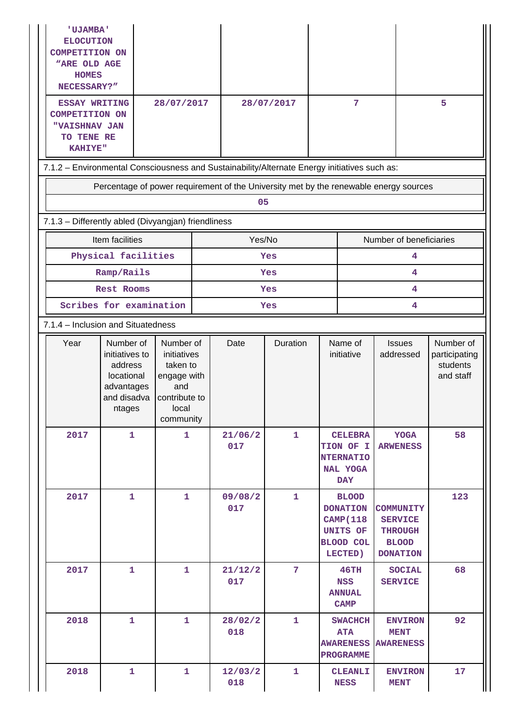| <b>'UJAMBA'</b><br><b>ELOCUTION</b><br><b>COMPETITION ON</b><br><b>"ARE OLD AGE</b><br><b>HOMES</b><br>NECESSARY?"<br><b>ESSAY WRITING</b><br><b>COMPETITION ON</b><br>"VAISHNAV JAN<br>TO TENE RE<br><b>KAHIYE"</b> |                                                                                             | 28/07/2017                                                                                        |  | 28/07/2017     |                | 7                                                                                       |                                                                           |                                                                                         | 5                                                   |  |  |  |
|----------------------------------------------------------------------------------------------------------------------------------------------------------------------------------------------------------------------|---------------------------------------------------------------------------------------------|---------------------------------------------------------------------------------------------------|--|----------------|----------------|-----------------------------------------------------------------------------------------|---------------------------------------------------------------------------|-----------------------------------------------------------------------------------------|-----------------------------------------------------|--|--|--|
| 7.1.2 - Environmental Consciousness and Sustainability/Alternate Energy initiatives such as:                                                                                                                         |                                                                                             |                                                                                                   |  |                |                |                                                                                         |                                                                           |                                                                                         |                                                     |  |  |  |
|                                                                                                                                                                                                                      | Percentage of power requirement of the University met by the renewable energy sources       |                                                                                                   |  |                |                |                                                                                         |                                                                           |                                                                                         |                                                     |  |  |  |
|                                                                                                                                                                                                                      |                                                                                             |                                                                                                   |  | 05             |                |                                                                                         |                                                                           |                                                                                         |                                                     |  |  |  |
| 7.1.3 - Differently abled (Divyangjan) friendliness                                                                                                                                                                  |                                                                                             |                                                                                                   |  |                |                |                                                                                         |                                                                           |                                                                                         |                                                     |  |  |  |
|                                                                                                                                                                                                                      | Item facilities                                                                             |                                                                                                   |  | Yes/No         |                |                                                                                         |                                                                           | Number of beneficiaries                                                                 |                                                     |  |  |  |
|                                                                                                                                                                                                                      | Physical facilities                                                                         |                                                                                                   |  |                | Yes            |                                                                                         |                                                                           | 4                                                                                       |                                                     |  |  |  |
|                                                                                                                                                                                                                      | Ramp/Rails                                                                                  |                                                                                                   |  |                | Yes            |                                                                                         |                                                                           | 4                                                                                       |                                                     |  |  |  |
|                                                                                                                                                                                                                      | Rest Rooms                                                                                  |                                                                                                   |  |                | Yes            |                                                                                         | 4                                                                         |                                                                                         |                                                     |  |  |  |
|                                                                                                                                                                                                                      | Scribes for examination                                                                     |                                                                                                   |  |                | Yes            |                                                                                         |                                                                           | 4                                                                                       |                                                     |  |  |  |
| 7.1.4 - Inclusion and Situatedness                                                                                                                                                                                   |                                                                                             |                                                                                                   |  |                |                |                                                                                         |                                                                           |                                                                                         |                                                     |  |  |  |
| Year                                                                                                                                                                                                                 | Number of<br>initiatives to<br>address<br>locational<br>advantages<br>and disadva<br>ntages | Number of<br>initiatives<br>taken to<br>engage with<br>and<br>contribute to<br>local<br>community |  | Date           | Duration       |                                                                                         | Name of<br>initiative                                                     | <b>Issues</b><br>addressed                                                              | Number of<br>participating<br>students<br>and staff |  |  |  |
| 2017                                                                                                                                                                                                                 | $\mathbf{1}$                                                                                | $\mathbf{1}$                                                                                      |  | 21/06/2<br>017 | $\mathbf{1}$   |                                                                                         | <b>CELEBRA</b><br>TION OF I<br><b>NTERNATIO</b><br>NAL YOGA<br><b>DAY</b> | <b>YOGA</b><br><b>ARWENESS</b>                                                          | 58                                                  |  |  |  |
| 2017                                                                                                                                                                                                                 | $\mathbf{1}$<br>1                                                                           |                                                                                                   |  | 09/08/2<br>017 | 1              | <b>BLOOD</b><br><b>DONATION</b><br><b>CAMP</b> (118<br>UNITS OF<br>BLOOD COL<br>LECTED) |                                                                           | <b>COMMUNITY</b><br><b>SERVICE</b><br><b>THROUGH</b><br><b>BLOOD</b><br><b>DONATION</b> | 123                                                 |  |  |  |
| 2017                                                                                                                                                                                                                 | 1                                                                                           | 1                                                                                                 |  | 21/12/2<br>017 | $\overline{7}$ |                                                                                         | 46TH<br><b>NSS</b><br><b>ANNUAL</b><br>CAMP                               | <b>SOCIAL</b><br><b>SERVICE</b>                                                         | 68                                                  |  |  |  |
| 2018                                                                                                                                                                                                                 | 1                                                                                           | 1                                                                                                 |  | 28/02/2<br>018 | 1              |                                                                                         | <b>SWACHCH</b><br><b>ATA</b><br><b>AWARENESS</b><br>PROGRAMME             | <b>ENVIRON</b><br><b>MENT</b><br><b>AWARENESS</b>                                       | 92                                                  |  |  |  |
| 2018                                                                                                                                                                                                                 | 1                                                                                           | 1                                                                                                 |  | 12/03/2<br>018 | 1              | <b>CLEANLI</b><br><b>NESS</b>                                                           |                                                                           | <b>ENVIRON</b><br><b>MENT</b>                                                           | 17                                                  |  |  |  |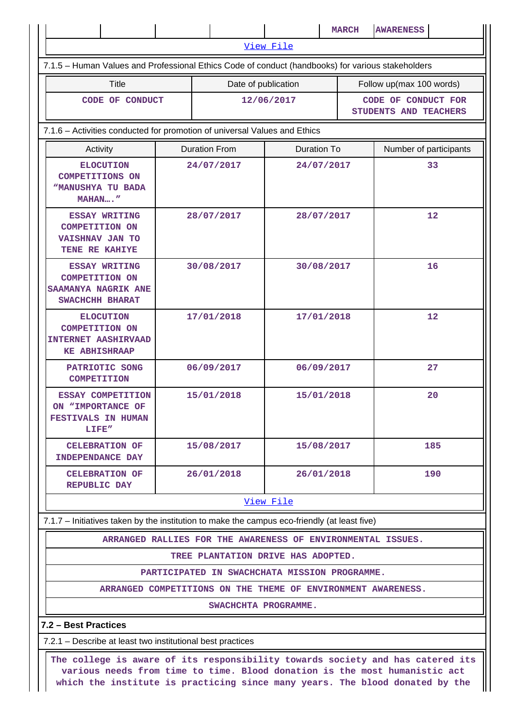|                                                                                                                                                                                                                                              |                      |                                                             |                    | <b>MARCH</b> | <b>AWARENESS</b>                             |  |
|----------------------------------------------------------------------------------------------------------------------------------------------------------------------------------------------------------------------------------------------|----------------------|-------------------------------------------------------------|--------------------|--------------|----------------------------------------------|--|
|                                                                                                                                                                                                                                              |                      |                                                             | View File          |              |                                              |  |
| 7.1.5 - Human Values and Professional Ethics Code of conduct (handbooks) for various stakeholders                                                                                                                                            |                      |                                                             |                    |              |                                              |  |
| <b>Title</b>                                                                                                                                                                                                                                 |                      | Date of publication                                         |                    |              | Follow up(max 100 words)                     |  |
| CODE OF CONDUCT                                                                                                                                                                                                                              |                      | 12/06/2017                                                  |                    |              | CODE OF CONDUCT FOR<br>STUDENTS AND TEACHERS |  |
| 7.1.6 - Activities conducted for promotion of universal Values and Ethics                                                                                                                                                                    |                      |                                                             |                    |              |                                              |  |
| Activity                                                                                                                                                                                                                                     | <b>Duration From</b> |                                                             | <b>Duration To</b> |              | Number of participants                       |  |
| <b>ELOCUTION</b><br><b>COMPETITIONS ON</b><br><b>WANUSHYA TU BADA</b><br>MAHAN"                                                                                                                                                              | 24/07/2017           |                                                             | 24/07/2017         |              | 33                                           |  |
| <b>ESSAY WRITING</b><br><b>COMPETITION ON</b><br>VAISHNAV JAN TO<br>TENE RE KAHIYE                                                                                                                                                           |                      | 28/07/2017                                                  | 28/07/2017         |              | 12                                           |  |
| <b>ESSAY WRITING</b><br><b>COMPETITION ON</b><br>SAAMANYA NAGRIK ANE<br>SWACHCHH BHARAT                                                                                                                                                      | 30/08/2017           |                                                             | 30/08/2017         |              | 16                                           |  |
| <b>ELOCUTION</b><br><b>COMPETITION ON</b><br><b>INTERNET AASHIRVAAD</b><br><b>KE ABHISHRAAP</b>                                                                                                                                              | 17/01/2018           |                                                             | 17/01/2018         |              | 12                                           |  |
| PATRIOTIC SONG<br><b>COMPETITION</b>                                                                                                                                                                                                         | 06/09/2017           |                                                             | 06/09/2017         |              | 27                                           |  |
| ESSAY COMPETITION<br>ON "IMPORTANCE OF<br><b>FESTIVALS IN HUMAN</b><br>LIFE"                                                                                                                                                                 | 15/01/2018           |                                                             | 15/01/2018         |              | 20                                           |  |
| <b>CELEBRATION OF</b><br><b>INDEPENDANCE DAY</b>                                                                                                                                                                                             | 15/08/2017           |                                                             | 15/08/2017         |              | 185                                          |  |
| <b>CELEBRATION OF</b><br><b>REPUBLIC DAY</b>                                                                                                                                                                                                 |                      | 26/01/2018                                                  |                    | 26/01/2018   | 190                                          |  |
|                                                                                                                                                                                                                                              |                      |                                                             | View File          |              |                                              |  |
| 7.1.7 – Initiatives taken by the institution to make the campus eco-friendly (at least five)                                                                                                                                                 |                      |                                                             |                    |              |                                              |  |
|                                                                                                                                                                                                                                              |                      | ARRANGED RALLIES FOR THE AWARENESS OF ENVIRONMENTAL ISSUES. |                    |              |                                              |  |
|                                                                                                                                                                                                                                              |                      | TREE PLANTATION DRIVE HAS ADOPTED.                          |                    |              |                                              |  |
| PARTICIPATED IN SWACHCHATA MISSION PROGRAMME.                                                                                                                                                                                                |                      |                                                             |                    |              |                                              |  |
| ARRANGED COMPETITIONS ON THE THEME OF ENVIRONMENT AWARENESS.                                                                                                                                                                                 |                      |                                                             |                    |              |                                              |  |
| SWACHCHTA PROGRAMME.                                                                                                                                                                                                                         |                      |                                                             |                    |              |                                              |  |
| 7.2 - Best Practices                                                                                                                                                                                                                         |                      |                                                             |                    |              |                                              |  |
| 7.2.1 – Describe at least two institutional best practices                                                                                                                                                                                   |                      |                                                             |                    |              |                                              |  |
| The college is aware of its responsibility towards society and has catered its<br>various needs from time to time. Blood donation is the most humanistic act<br>which the institute is practicing since many years. The blood donated by the |                      |                                                             |                    |              |                                              |  |